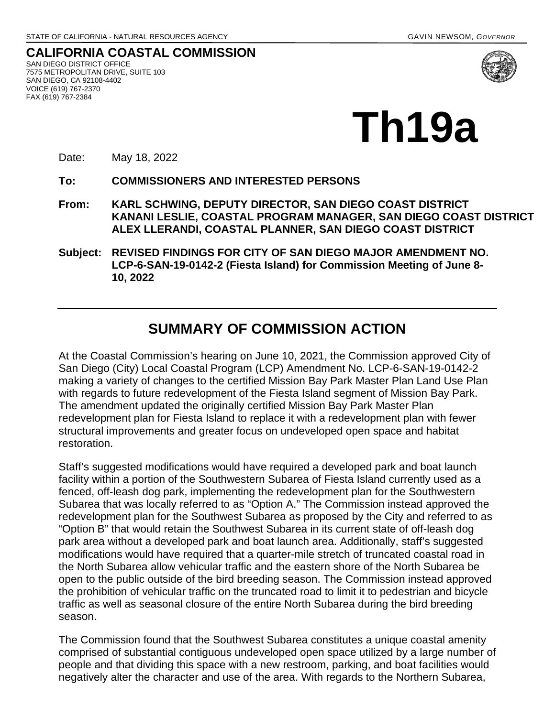**CALIFORNIA COASTAL COMMISSION** SAN DIEGO DISTRICT OFFICE 7575 METROPOLITAN DRIVE, SUITE 103 SAN DIEGO, CA 92108-4402 VOICE (619) 767-2370 FAX (619) 767-2384



# **Th19a**

Date: May 18, 2022

**To: COMMISSIONERS AND INTERESTED PERSONS** 

- **From: KARL SCHWING, DEPUTY DIRECTOR, SAN DIEGO COAST DISTRICT KANANI LESLIE, COASTAL PROGRAM MANAGER, SAN DIEGO COAST DISTRICT ALEX LLERANDI, COASTAL PLANNER, SAN DIEGO COAST DISTRICT**
- **Subject: REVISED FINDINGS FOR CITY OF SAN DIEGO MAJOR AMENDMENT NO. LCP-6-SAN-19-0142-2 (Fiesta Island) for Commission Meeting of June 8- 10, 2022**

# **SUMMARY OF COMMISSION ACTION**

At the Coastal Commission's hearing on June 10, 2021, the Commission approved City of San Diego (City) Local Coastal Program (LCP) Amendment No. LCP-6-SAN-19-0142-2 making a variety of changes to the certified Mission Bay Park Master Plan Land Use Plan with regards to future redevelopment of the Fiesta Island segment of Mission Bay Park. The amendment updated the originally certified Mission Bay Park Master Plan redevelopment plan for Fiesta Island to replace it with a redevelopment plan with fewer structural improvements and greater focus on undeveloped open space and habitat restoration.

Staff's suggested modifications would have required a developed park and boat launch facility within a portion of the Southwestern Subarea of Fiesta Island currently used as a fenced, off-leash dog park, implementing the redevelopment plan for the Southwestern Subarea that was locally referred to as "Option A." The Commission instead approved the redevelopment plan for the Southwest Subarea as proposed by the City and referred to as "Option B" that would retain the Southwest Subarea in its current state of off-leash dog park area without a developed park and boat launch area. Additionally, staff's suggested modifications would have required that a quarter-mile stretch of truncated coastal road in the North Subarea allow vehicular traffic and the eastern shore of the North Subarea be open to the public outside of the bird breeding season. The Commission instead approved the prohibition of vehicular traffic on the truncated road to limit it to pedestrian and bicycle traffic as well as seasonal closure of the entire North Subarea during the bird breeding season.

The Commission found that the Southwest Subarea constitutes a unique coastal amenity comprised of substantial contiguous undeveloped open space utilized by a large number of people and that dividing this space with a new restroom, parking, and boat facilities would negatively alter the character and use of the area. With regards to the Northern Subarea,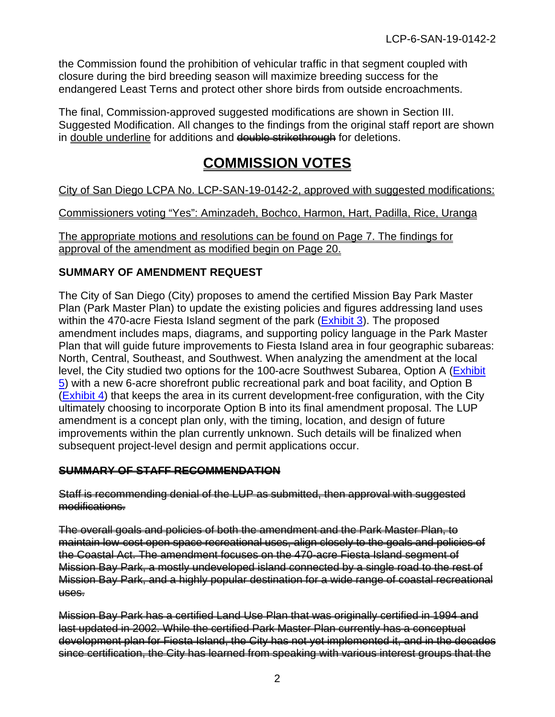the Commission found the prohibition of vehicular traffic in that segment coupled with closure during the bird breeding season will maximize breeding success for the endangered Least Terns and protect other shore birds from outside encroachments.

The final, Commission-approved suggested modifications are shown in Section III. Suggested Modification. All changes to the findings from the original staff report are shown in double underline for additions and double strikethrough for deletions.

# **COMMISSION VOTES**

City of San Diego LCPA No. LCP-SAN-19-0142-2, approved with suggested modifications:

Commissioners voting "Yes": Aminzadeh, Bochco, Harmon, Hart, Padilla, Rice, Uranga

The appropriate motions and resolutions can be found on Page 7. The findings for approval of the amendment as modified begin on Page 20.

# **SUMMARY OF AMENDMENT REQUEST**

The City of San Diego (City) proposes to amend the certified Mission Bay Park Master Plan (Park Master Plan) to update the existing policies and figures addressing land uses within the 470-acre Fiesta Island segment of the park [\(Exhibit 3\)](https://documents.coastal.ca.gov/reports/2021/6/Th9f/Th9f-6-2021-exhibits.pdf). The proposed amendment includes maps, diagrams, and supporting policy language in the Park Master Plan that will guide future improvements to Fiesta Island area in four geographic subareas: North, Central, Southeast, and Southwest. When analyzing the amendment at the local level, the City studied two options for the 100-acre Southwest Subarea, Option A [\(Exhibit](https://documents.coastal.ca.gov/reports/2021/6/Th9f/Th9f-6-2021-exhibits.pdf)  [5\)](https://documents.coastal.ca.gov/reports/2021/6/Th9f/Th9f-6-2021-exhibits.pdf) with a new 6-acre shorefront public recreational park and boat facility, and Option B [\(Exhibit 4\)](https://documents.coastal.ca.gov/reports/2021/6/Th9f/Th9f-6-2021-exhibits.pdf) that keeps the area in its current development-free configuration, with the City ultimately choosing to incorporate Option B into its final amendment proposal. The LUP amendment is a concept plan only, with the timing, location, and design of future improvements within the plan currently unknown. Such details will be finalized when subsequent project-level design and permit applications occur.

# **SUMMARY OF STAFF RECOMMENDATION**

#### Staff is recommending denial of the LUP as submitted, then approval with suggested modifications.

The overall goals and policies of both the amendment and the Park Master Plan, to maintain low-cost open space recreational uses, align closely to the goals and policies of the Coastal Act. The amendment focuses on the 470-acre Fiesta Island segment of Mission Bay Park, a mostly undeveloped island connected by a single road to the rest of Mission Bay Park, and a highly popular destination for a wide range of coastal recreational uses.

Mission Bay Park has a certified Land Use Plan that was originally certified in 1994 and last updated in 2002. While the certified Park Master Plan currently has a conceptual development plan for Fiesta Island, the City has not yet implemented it, and in the decades since certification, the City has learned from speaking with various interest groups that the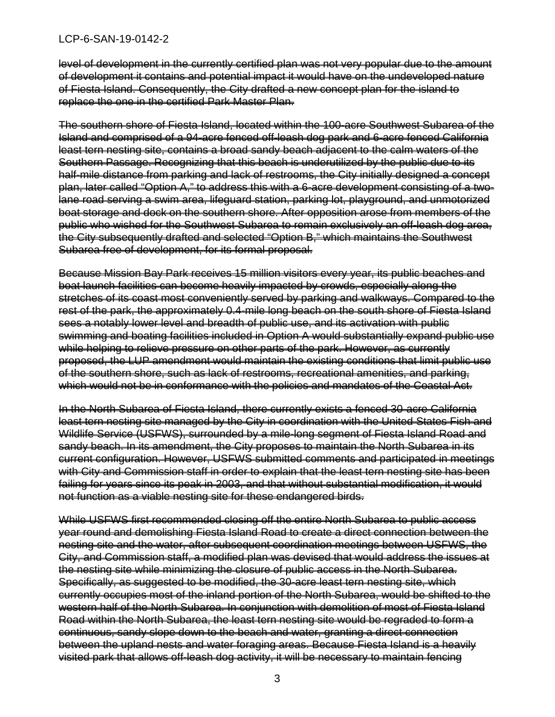level of development in the currently certified plan was not very popular due to the amount of development it contains and potential impact it would have on the undeveloped nature of Fiesta Island. Consequently, the City drafted a new concept plan for the island to replace the one in the certified Park Master Plan.

The southern shore of Fiesta Island, located within the 100-acre Southwest Subarea of the Island and comprised of a 94-acre fenced off-leash dog park and 6-acre fenced California least tern nesting site, contains a broad sandy beach adjacent to the calm waters of the Southern Passage. Recognizing that this beach is underutilized by the public due to its half-mile distance from parking and lack of restrooms, the City initially designed a concept plan, later called "Option A," to address this with a 6-acre development consisting of a twolane road serving a swim area, lifeguard station, parking lot, playground, and unmotorized boat storage and dock on the southern shore. After opposition arose from members of the public who wished for the Southwest Subarea to remain exclusively an off-leash dog area, the City subsequently drafted and selected "Option B," which maintains the Southwest Subarea free of development, for its formal proposal.

Because Mission Bay Park receives 15 million visitors every year, its public beaches and boat launch facilities can become heavily impacted by crowds, especially along the stretches of its coast most conveniently served by parking and walkways. Compared to the rest of the park, the approximately 0.4-mile long beach on the south shore of Fiesta Island sees a notably lower level and breadth of public use, and its activation with public swimming and boating facilities included in Option A would substantially expand public use while helping to relieve pressure on other parts of the park. However, as currently proposed, the LUP amendment would maintain the existing conditions that limit public use of the southern shore, such as lack of restrooms, recreational amenities, and parking, which would not be in conformance with the policies and mandates of the Coastal Act.

In the North Subarea of Fiesta Island, there currently exists a fenced 30-acre California least tern nesting site managed by the City in coordination with the United States Fish and Wildlife Service (USFWS), surrounded by a mile-long segment of Fiesta Island Road and sandy beach. In its amendment, the City proposes to maintain the North Subarea in its current configuration. However, USFWS submitted comments and participated in meetings with City and Commission staff in order to explain that the least tern nesting site has been failing for years since its peak in 2003, and that without substantial modification, it would not function as a viable nesting site for these endangered birds.

While USFWS first recommended closing off the entire North Subarea to public access year round and demolishing Fiesta Island Road to create a direct connection between the nesting site and the water, after subsequent coordination meetings between USFWS, the City, and Commission staff, a modified plan was devised that would address the issues at the nesting site while minimizing the closure of public access in the North Subarea. Specifically, as suggested to be modified, the 30-acre least tern nesting site, which currently occupies most of the inland portion of the North Subarea, would be shifted to the western half of the North Subarea. In conjunction with demolition of most of Fiesta Island Road within the North Subarea, the least tern nesting site would be regraded to form a continuous, sandy slope down to the beach and water, granting a direct connection between the upland nests and water foraging areas. Because Fiesta Island is a heavily visited park that allows off-leash dog activity, it will be necessary to maintain fencing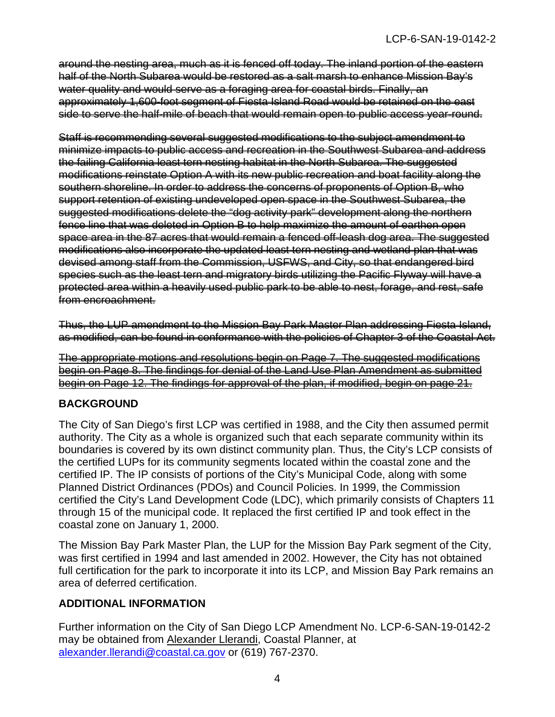around the nesting area, much as it is fenced off today. The inland portion of the eastern half of the North Subarea would be restored as a salt marsh to enhance Mission Bay's water quality and would serve as a foraging area for coastal birds. Finally, an approximately 1,600-foot segment of Fiesta Island Road would be retained on the east side to serve the half-mile of beach that would remain open to public access year-round.

Staff is recommending several suggested modifications to the subject amendment to minimize impacts to public access and recreation in the Southwest Subarea and address the failing California least tern nesting habitat in the North Subarea. The suggested modifications reinstate Option A with its new public recreation and boat facility along the southern shoreline. In order to address the concerns of proponents of Option B, who support retention of existing undeveloped open space in the Southwest Subarea, the suggested modifications delete the "dog activity park" development along the northern fence line that was deleted in Option B to help maximize the amount of earthen open space area in the 87 acres that would remain a fenced off-leash dog area. The suggested modifications also incorporate the updated least tern nesting and wetland plan that was devised among staff from the Commission, USFWS, and City, so that endangered bird species such as the least tern and migratory birds utilizing the Pacific Flyway will have a protected area within a heavily used public park to be able to nest, forage, and rest, safe from encroachment.

Thus, the LUP amendment to the Mission Bay Park Master Plan addressing Fiesta Island, as modified, can be found in conformance with the policies of Chapter 3 of the Coastal Act.

The appropriate motions and resolutions begin on Page 7. The suggested modifications begin on Page 8. The findings for denial of the Land Use Plan Amendment as submitted begin on Page 12. The findings for approval of the plan, if modified, begin on page 21.

# **BACKGROUND**

The City of San Diego's first LCP was certified in 1988, and the City then assumed permit authority. The City as a whole is organized such that each separate community within its boundaries is covered by its own distinct community plan. Thus, the City's LCP consists of the certified LUPs for its community segments located within the coastal zone and the certified IP. The IP consists of portions of the City's Municipal Code, along with some Planned District Ordinances (PDOs) and Council Policies. In 1999, the Commission certified the City's Land Development Code (LDC), which primarily consists of Chapters 11 through 15 of the municipal code. It replaced the first certified IP and took effect in the coastal zone on January 1, 2000.

The Mission Bay Park Master Plan, the LUP for the Mission Bay Park segment of the City, was first certified in 1994 and last amended in 2002. However, the City has not obtained full certification for the park to incorporate it into its LCP, and Mission Bay Park remains an area of deferred certification.

# **ADDITIONAL INFORMATION**

Further information on the City of San Diego LCP Amendment No. LCP-6-SAN-19-0142-2 may be obtained from Alexander Llerandi, Coastal Planner, at [alexander.llerandi@coastal.ca.gov](mailto:alexander.llerandi@coastal.ca.gov) or (619) 767-2370.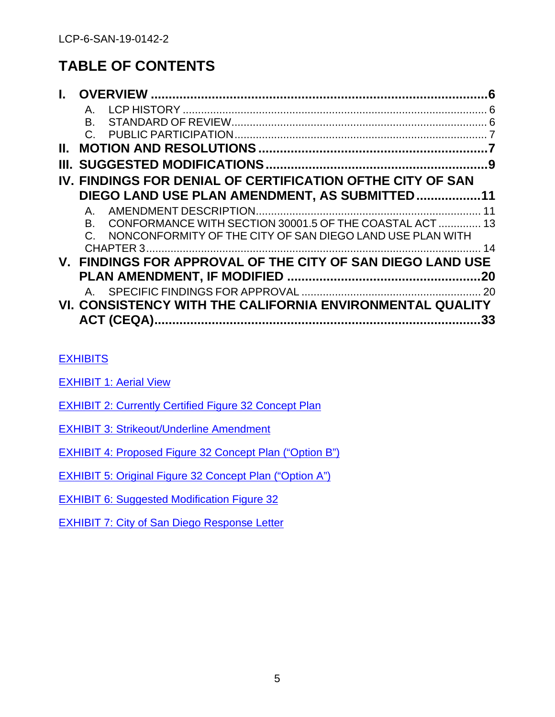# **TABLE OF CONTENTS**

|    | Α.                                                                   |    |
|----|----------------------------------------------------------------------|----|
|    |                                                                      |    |
|    |                                                                      |    |
| Н. |                                                                      |    |
| Ш. |                                                                      |    |
|    | IV. FINDINGS FOR DENIAL OF CERTIFICATION OFTHE CITY OF SAN           |    |
|    | DIEGO LAND USE PLAN AMENDMENT, AS SUBMITTED11                        |    |
|    | $A_{-}$                                                              | 11 |
|    | CONFORMANCE WITH SECTION 30001.5 OF THE COASTAL ACT  13<br>B.        |    |
|    | NONCONFORMITY OF THE CITY OF SAN DIEGO LAND USE PLAN WITH<br>$C_{-}$ |    |
|    | CHAPTER 3                                                            | 14 |
|    | V. FINDINGS FOR APPROVAL OF THE CITY OF SAN DIEGO LAND USE           |    |
|    |                                                                      | 20 |
|    | $A_{-}$                                                              |    |
|    | VI. CONSISTENCY WITH THE CALIFORNIA ENVIRONMENTAL QUALITY            |    |
|    |                                                                      | 33 |

# **[EXHIBITS](https://documents.coastal.ca.gov/reports/2021/6/Th9f/Th9f-6-2021-exhibits.pdf)**

- **[EXHIBIT 1: Aerial View](https://documents.coastal.ca.gov/reports/2021/6/Th9f/Th9f-6-2021-exhibits.pdf)**
- [EXHIBIT 2: Currently](https://documents.coastal.ca.gov/reports/2021/6/Th9f/Th9f-6-2021-exhibits.pdf) Certified Figure 32 Concept Plan
- [EXHIBIT 3: Strikeout/Underline Amendment](https://documents.coastal.ca.gov/reports/2021/6/Th9f/Th9f-6-2021-exhibits.pdf)

[EXHIBIT 4: Proposed Figure 32 Concept Plan](https://documents.coastal.ca.gov/reports/2021/6/Th9f/Th9f-6-2021-exhibits.pdf) ("Option B")

[EXHIBIT 5: Original Figure 32 Concept Plan](https://documents.coastal.ca.gov/reports/2021/6/Th9f/Th9f-6-2021-exhibits.pdf) ("Option A")

**[EXHIBIT 6: Suggested Modification Figure 32](https://documents.coastal.ca.gov/reports/2021/6/Th9f/Th9f-6-2021-exhibits.pdf)** 

[EXHIBIT 7: City of San Diego Response Letter](https://documents.coastal.ca.gov/reports/2021/6/Th9f/Th9f-6-2021-exhibits.pdf)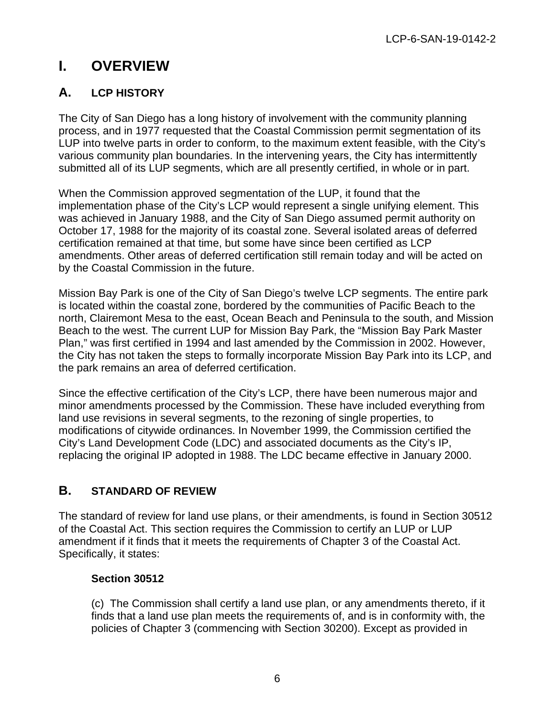# <span id="page-5-0"></span>**I. OVERVIEW**

# <span id="page-5-1"></span>**A. LCP HISTORY**

The City of San Diego has a long history of involvement with the community planning process, and in 1977 requested that the Coastal Commission permit segmentation of its LUP into twelve parts in order to conform, to the maximum extent feasible, with the City's various community plan boundaries. In the intervening years, the City has intermittently submitted all of its LUP segments, which are all presently certified, in whole or in part.

When the Commission approved segmentation of the LUP, it found that the implementation phase of the City's LCP would represent a single unifying element. This was achieved in January 1988, and the City of San Diego assumed permit authority on October 17, 1988 for the majority of its coastal zone. Several isolated areas of deferred certification remained at that time, but some have since been certified as LCP amendments. Other areas of deferred certification still remain today and will be acted on by the Coastal Commission in the future.

Mission Bay Park is one of the City of San Diego's twelve LCP segments. The entire park is located within the coastal zone, bordered by the communities of Pacific Beach to the north, Clairemont Mesa to the east, Ocean Beach and Peninsula to the south, and Mission Beach to the west. The current LUP for Mission Bay Park, the "Mission Bay Park Master Plan," was first certified in 1994 and last amended by the Commission in 2002. However, the City has not taken the steps to formally incorporate Mission Bay Park into its LCP, and the park remains an area of deferred certification.

Since the effective certification of the City's LCP, there have been numerous major and minor amendments processed by the Commission. These have included everything from land use revisions in several segments, to the rezoning of single properties, to modifications of citywide ordinances. In November 1999, the Commission certified the City's Land Development Code (LDC) and associated documents as the City's IP, replacing the original IP adopted in 1988. The LDC became effective in January 2000.

# <span id="page-5-2"></span>**B. STANDARD OF REVIEW**

The standard of review for land use plans, or their amendments, is found in Section 30512 of the Coastal Act. This section requires the Commission to certify an LUP or LUP amendment if it finds that it meets the requirements of Chapter 3 of the Coastal Act. Specifically, it states:

# **Section 30512**

(c) The Commission shall certify a land use plan, or any amendments thereto, if it finds that a land use plan meets the requirements of, and is in conformity with, the policies of Chapter 3 (commencing with Section 30200). Except as provided in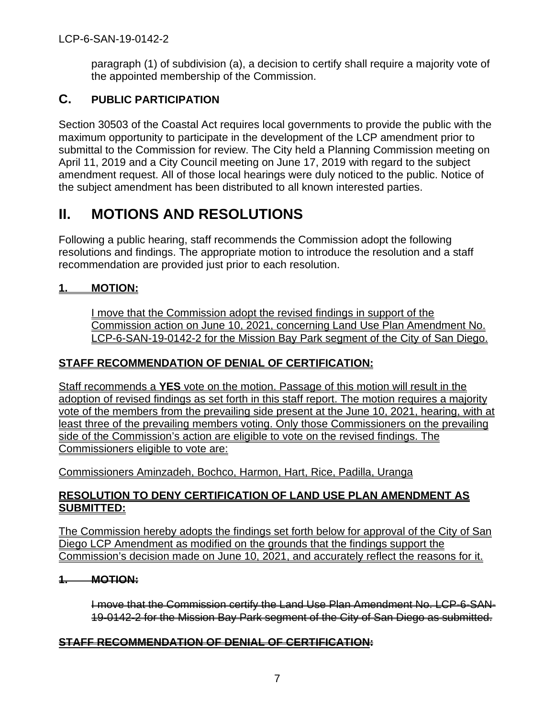paragraph (1) of subdivision (a), a decision to certify shall require a majority vote of the appointed membership of the Commission.

# <span id="page-6-0"></span>**C. PUBLIC PARTICIPATION**

Section 30503 of the Coastal Act requires local governments to provide the public with the maximum opportunity to participate in the development of the LCP amendment prior to submittal to the Commission for review. The City held a Planning Commission meeting on April 11, 2019 and a City Council meeting on June 17, 2019 with regard to the subject amendment request. All of those local hearings were duly noticed to the public. Notice of the subject amendment has been distributed to all known interested parties.

# <span id="page-6-1"></span>**II. MOTIONS AND RESOLUTIONS**

Following a public hearing, staff recommends the Commission adopt the following resolutions and findings. The appropriate motion to introduce the resolution and a staff recommendation are provided just prior to each resolution.

# **1. MOTION:**

I move that the Commission adopt the revised findings in support of the Commission action on June 10, 2021, concerning Land Use Plan Amendment No. LCP-6-SAN-19-0142-2 for the Mission Bay Park segment of the City of San Diego.

# **STAFF RECOMMENDATION OF DENIAL OF CERTIFICATION:**

Staff recommends a **YES** vote on the motion. Passage of this motion will result in the adoption of revised findings as set forth in this staff report. The motion requires a majority vote of the members from the prevailing side present at the June 10, 2021, hearing, with at least three of the prevailing members voting. Only those Commissioners on the prevailing side of the Commission's action are eligible to vote on the revised findings. The Commissioners eligible to vote are:

Commissioners Aminzadeh, Bochco, Harmon, Hart, Rice, Padilla, Uranga

# **RESOLUTION TO DENY CERTIFICATION OF LAND USE PLAN AMENDMENT AS SUBMITTED:**

The Commission hereby adopts the findings set forth below for approval of the City of San Diego LCP Amendment as modified on the grounds that the findings support the Commission's decision made on June 10, 2021, and accurately reflect the reasons for it.

# **1. MOTION:**

I move that the Commission certify the Land Use Plan Amendment No. LCP-6-SAN-19-0142-2 for the Mission Bay Park segment of the City of San Diego as submitted.

# **STAFF RECOMMENDATION OF DENIAL OF CERTIFICATION:**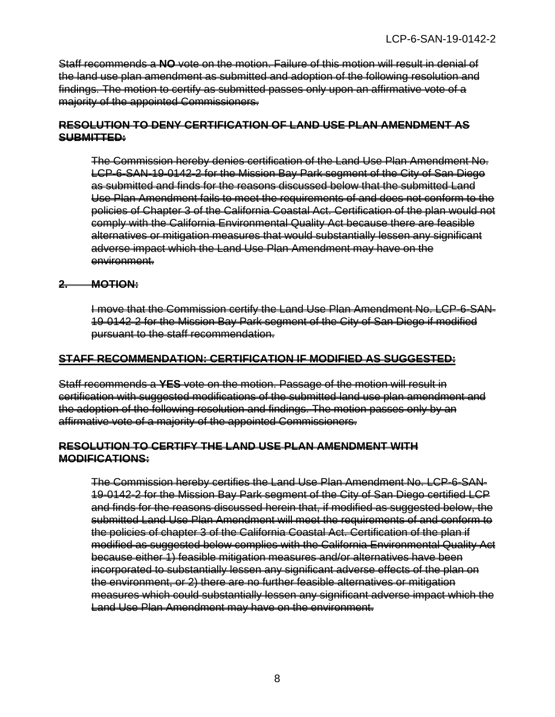Staff recommends a **NO** vote on the motion. Failure of this motion will result in denial of the land use plan amendment as submitted and adoption of the following resolution and findings. The motion to certify as submitted passes only upon an affirmative vote of a majority of the appointed Commissioners.

#### **RESOLUTION TO DENY CERTIFICATION OF LAND USE PLAN AMENDMENT AS SUBMITTED:**

The Commission hereby denies certification of the Land Use Plan Amendment No. LCP-6-SAN-19-0142-2 for the Mission Bay Park segment of the City of San Diego as submitted and finds for the reasons discussed below that the submitted Land Use Plan Amendment fails to meet the requirements of and does not conform to the policies of Chapter 3 of the California Coastal Act. Certification of the plan would not comply with the California Environmental Quality Act because there are feasible alternatives or mitigation measures that would substantially lessen any significant adverse impact which the Land Use Plan Amendment may have on the environment.

#### **2. MOTION:**

I move that the Commission certify the Land Use Plan Amendment No. LCP-6-SAN-19-0142-2 for the Mission Bay Park segment of the City of San Diego if modified pursuant to the staff recommendation.

#### **STAFF RECOMMENDATION: CERTIFICATION IF MODIFIED AS SUGGESTED:**

Staff recommends a **YES** vote on the motion. Passage of the motion will result in certification with suggested modifications of the submitted land use plan amendment and the adoption of the following resolution and findings. The motion passes only by an affirmative vote of a majority of the appointed Commissioners.

#### **RESOLUTION TO CERTIFY THE LAND USE PLAN AMENDMENT WITH MODIFICATIONS:**

The Commission hereby certifies the Land Use Plan Amendment No. LCP-6-SAN-19-0142-2 for the Mission Bay Park segment of the City of San Diego certified LCP and finds for the reasons discussed herein that, if modified as suggested below, the submitted Land Use Plan Amendment will meet the requirements of and conform to the policies of chapter 3 of the California Coastal Act. Certification of the plan if modified as suggested below complies with the California Environmental Quality Act because either 1) feasible mitigation measures and/or alternatives have been incorporated to substantially lessen any significant adverse effects of the plan on the environment, or 2) there are no further feasible alternatives or mitigation measures which could substantially lessen any significant adverse impact which the Land Use Plan Amendment may have on the environment.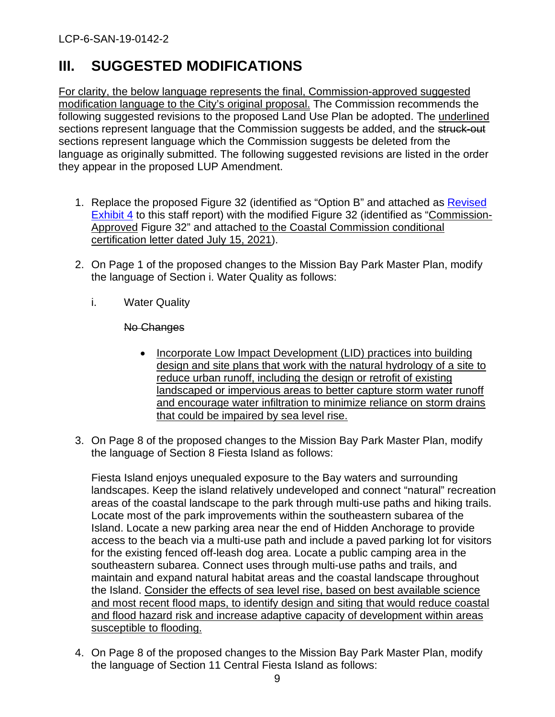# <span id="page-8-0"></span>**III. SUGGESTED MODIFICATIONS**

For clarity, the below language represents the final, Commission-approved suggested modification language to the City's original proposal. The Commission recommends the following suggested revisions to the proposed Land Use Plan be adopted. The underlined sections represent language that the Commission suggests be added, and the struck-out sections represent language which the Commission suggests be deleted from the language as originally submitted. The following suggested revisions are listed in the order they appear in the proposed LUP Amendment.

- 1. Replace the proposed Figure 32 (identified as "Option B" and attached as [Revised](https://documents.coastal.ca.gov/reports/2022/6/Th19a/Th19a-6-2022-exhibits.pdf)  [Exhibit 4](https://documents.coastal.ca.gov/reports/2022/6/Th19a/Th19a-6-2022-exhibits.pdf) to this staff report) with the modified Figure 32 (identified as "Commission-Approved Figure 32" and attached to the Coastal Commission conditional certification letter dated July 15, 2021).
- 2. On Page 1 of the proposed changes to the Mission Bay Park Master Plan, modify the language of Section i. Water Quality as follows:
	- i. Water Quality

# No Changes

- Incorporate Low Impact Development (LID) practices into building design and site plans that work with the natural hydrology of a site to reduce urban runoff, including the design or retrofit of existing landscaped or impervious areas to better capture storm water runoff and encourage water infiltration to minimize reliance on storm drains that could be impaired by sea level rise.
- 3. On Page 8 of the proposed changes to the Mission Bay Park Master Plan, modify the language of Section 8 Fiesta Island as follows:

Fiesta Island enjoys unequaled exposure to the Bay waters and surrounding landscapes. Keep the island relatively undeveloped and connect "natural" recreation areas of the coastal landscape to the park through multi-use paths and hiking trails. Locate most of the park improvements within the southeastern subarea of the Island. Locate a new parking area near the end of Hidden Anchorage to provide access to the beach via a multi-use path and include a paved parking lot for visitors for the existing fenced off-leash dog area. Locate a public camping area in the southeastern subarea. Connect uses through multi-use paths and trails, and maintain and expand natural habitat areas and the coastal landscape throughout the Island. Consider the effects of sea level rise, based on best available science and most recent flood maps, to identify design and siting that would reduce coastal and flood hazard risk and increase adaptive capacity of development within areas susceptible to flooding.

4. On Page 8 of the proposed changes to the Mission Bay Park Master Plan, modify the language of Section 11 Central Fiesta Island as follows: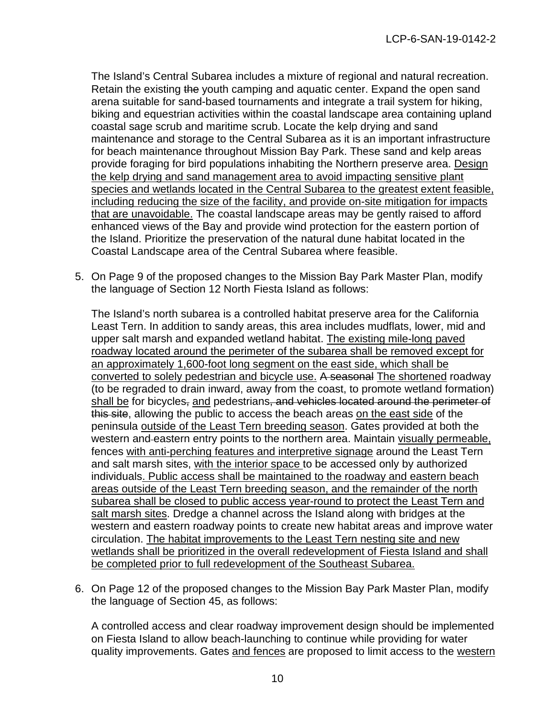The Island's Central Subarea includes a mixture of regional and natural recreation. Retain the existing the youth camping and aquatic center. Expand the open sand arena suitable for sand-based tournaments and integrate a trail system for hiking, biking and equestrian activities within the coastal landscape area containing upland coastal sage scrub and maritime scrub. Locate the kelp drying and sand maintenance and storage to the Central Subarea as it is an important infrastructure for beach maintenance throughout Mission Bay Park. These sand and kelp areas provide foraging for bird populations inhabiting the Northern preserve area. Design the kelp drying and sand management area to avoid impacting sensitive plant species and wetlands located in the Central Subarea to the greatest extent feasible, including reducing the size of the facility, and provide on-site mitigation for impacts that are unavoidable. The coastal landscape areas may be gently raised to afford enhanced views of the Bay and provide wind protection for the eastern portion of the Island. Prioritize the preservation of the natural dune habitat located in the Coastal Landscape area of the Central Subarea where feasible.

5. On Page 9 of the proposed changes to the Mission Bay Park Master Plan, modify the language of Section 12 North Fiesta Island as follows:

The Island's north subarea is a controlled habitat preserve area for the California Least Tern. In addition to sandy areas, this area includes mudflats, lower, mid and upper salt marsh and expanded wetland habitat. The existing mile-long paved roadway located around the perimeter of the subarea shall be removed except for an approximately 1,600-foot long segment on the east side, which shall be converted to solely pedestrian and bicycle use. A seasonal The shortened roadway (to be regraded to drain inward, away from the coast, to promote wetland formation) shall be for bicycles, and pedestrians, and vehicles located around the perimeter of this site, allowing the public to access the beach areas on the east side of the peninsula outside of the Least Tern breeding season. Gates provided at both the western and eastern entry points to the northern area. Maintain visually permeable, fences with anti-perching features and interpretive signage around the Least Tern and salt marsh sites, with the interior space to be accessed only by authorized individuals. Public access shall be maintained to the roadway and eastern beach areas outside of the Least Tern breeding season, and the remainder of the north subarea shall be closed to public access year-round to protect the Least Tern and salt marsh sites. Dredge a channel across the Island along with bridges at the western and eastern roadway points to create new habitat areas and improve water circulation. The habitat improvements to the Least Tern nesting site and new wetlands shall be prioritized in the overall redevelopment of Fiesta Island and shall be completed prior to full redevelopment of the Southeast Subarea.

6. On Page 12 of the proposed changes to the Mission Bay Park Master Plan, modify the language of Section 45, as follows:

A controlled access and clear roadway improvement design should be implemented on Fiesta Island to allow beach-launching to continue while providing for water quality improvements. Gates and fences are proposed to limit access to the western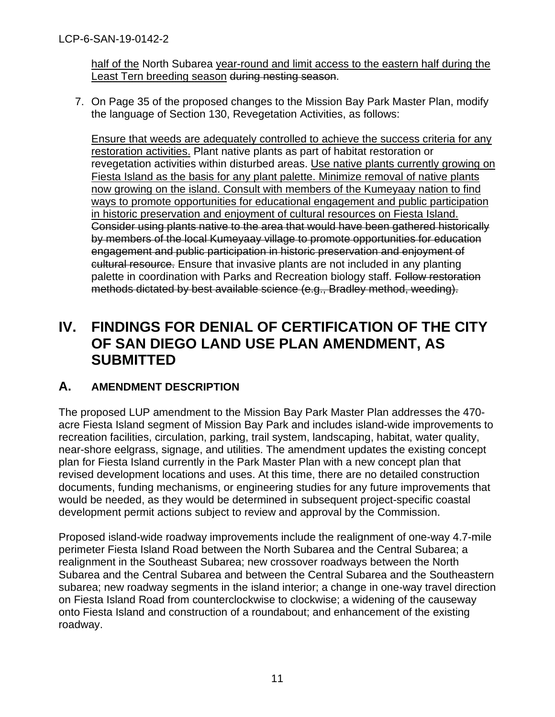half of the North Subarea year-round and limit access to the eastern half during the Least Tern breeding season during nesting season.

7. On Page 35 of the proposed changes to the Mission Bay Park Master Plan, modify the language of Section 130, Revegetation Activities, as follows:

Ensure that weeds are adequately controlled to achieve the success criteria for any restoration activities. Plant native plants as part of habitat restoration or revegetation activities within disturbed areas. Use native plants currently growing on Fiesta Island as the basis for any plant palette. Minimize removal of native plants now growing on the island. Consult with members of the Kumeyaay nation to find ways to promote opportunities for educational engagement and public participation in historic preservation and enjoyment of cultural resources on Fiesta Island. Consider using plants native to the area that would have been gathered historically by members of the local Kumeyaay village to promote opportunities for education engagement and public participation in historic preservation and enjoyment of cultural resource. Ensure that invasive plants are not included in any planting palette in coordination with Parks and Recreation biology staff. Follow restoration methods dictated by best available science (e.g., Bradley method, weeding).

# <span id="page-10-0"></span>**IV. FINDINGS FOR DENIAL OF CERTIFICATION OF THE CITY OF SAN DIEGO LAND USE PLAN AMENDMENT, AS SUBMITTED**

# <span id="page-10-1"></span>**A. AMENDMENT DESCRIPTION**

The proposed LUP amendment to the Mission Bay Park Master Plan addresses the 470 acre Fiesta Island segment of Mission Bay Park and includes island-wide improvements to recreation facilities, circulation, parking, trail system, landscaping, habitat, water quality, near-shore eelgrass, signage, and utilities. The amendment updates the existing concept plan for Fiesta Island currently in the Park Master Plan with a new concept plan that revised development locations and uses. At this time, there are no detailed construction documents, funding mechanisms, or engineering studies for any future improvements that would be needed, as they would be determined in subsequent project-specific coastal development permit actions subject to review and approval by the Commission.

Proposed island-wide roadway improvements include the realignment of one-way 4.7-mile perimeter Fiesta Island Road between the North Subarea and the Central Subarea; a realignment in the Southeast Subarea; new crossover roadways between the North Subarea and the Central Subarea and between the Central Subarea and the Southeastern subarea; new roadway segments in the island interior; a change in one-way travel direction on Fiesta Island Road from counterclockwise to clockwise; a widening of the causeway onto Fiesta Island and construction of a roundabout; and enhancement of the existing roadway.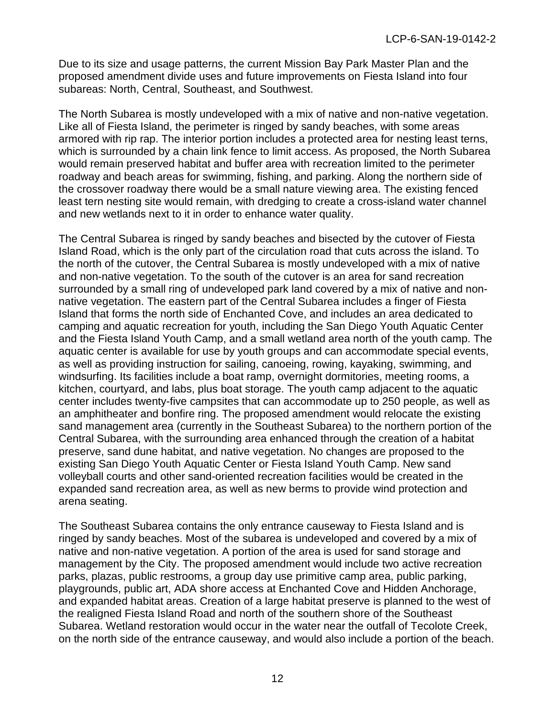Due to its size and usage patterns, the current Mission Bay Park Master Plan and the proposed amendment divide uses and future improvements on Fiesta Island into four subareas: North, Central, Southeast, and Southwest.

The North Subarea is mostly undeveloped with a mix of native and non-native vegetation. Like all of Fiesta Island, the perimeter is ringed by sandy beaches, with some areas armored with rip rap. The interior portion includes a protected area for nesting least terns, which is surrounded by a chain link fence to limit access. As proposed, the North Subarea would remain preserved habitat and buffer area with recreation limited to the perimeter roadway and beach areas for swimming, fishing, and parking. Along the northern side of the crossover roadway there would be a small nature viewing area. The existing fenced least tern nesting site would remain, with dredging to create a cross-island water channel and new wetlands next to it in order to enhance water quality.

The Central Subarea is ringed by sandy beaches and bisected by the cutover of Fiesta Island Road, which is the only part of the circulation road that cuts across the island. To the north of the cutover, the Central Subarea is mostly undeveloped with a mix of native and non-native vegetation. To the south of the cutover is an area for sand recreation surrounded by a small ring of undeveloped park land covered by a mix of native and nonnative vegetation. The eastern part of the Central Subarea includes a finger of Fiesta Island that forms the north side of Enchanted Cove, and includes an area dedicated to camping and aquatic recreation for youth, including the San Diego Youth Aquatic Center and the Fiesta Island Youth Camp, and a small wetland area north of the youth camp. The aquatic center is available for use by youth groups and can accommodate special events, as well as providing instruction for sailing, canoeing, rowing, kayaking, swimming, and windsurfing. Its facilities include a boat ramp, overnight dormitories, meeting rooms, a kitchen, courtyard, and labs, plus boat storage. The youth camp adjacent to the aquatic center includes twenty-five campsites that can accommodate up to 250 people, as well as an amphitheater and bonfire ring. The proposed amendment would relocate the existing sand management area (currently in the Southeast Subarea) to the northern portion of the Central Subarea, with the surrounding area enhanced through the creation of a habitat preserve, sand dune habitat, and native vegetation. No changes are proposed to the existing San Diego Youth Aquatic Center or Fiesta Island Youth Camp. New sand volleyball courts and other sand-oriented recreation facilities would be created in the expanded sand recreation area, as well as new berms to provide wind protection and arena seating.

The Southeast Subarea contains the only entrance causeway to Fiesta Island and is ringed by sandy beaches. Most of the subarea is undeveloped and covered by a mix of native and non-native vegetation. A portion of the area is used for sand storage and management by the City. The proposed amendment would include two active recreation parks, plazas, public restrooms, a group day use primitive camp area, public parking, playgrounds, public art, ADA shore access at Enchanted Cove and Hidden Anchorage, and expanded habitat areas. Creation of a large habitat preserve is planned to the west of the realigned Fiesta Island Road and north of the southern shore of the Southeast Subarea. Wetland restoration would occur in the water near the outfall of Tecolote Creek, on the north side of the entrance causeway, and would also include a portion of the beach.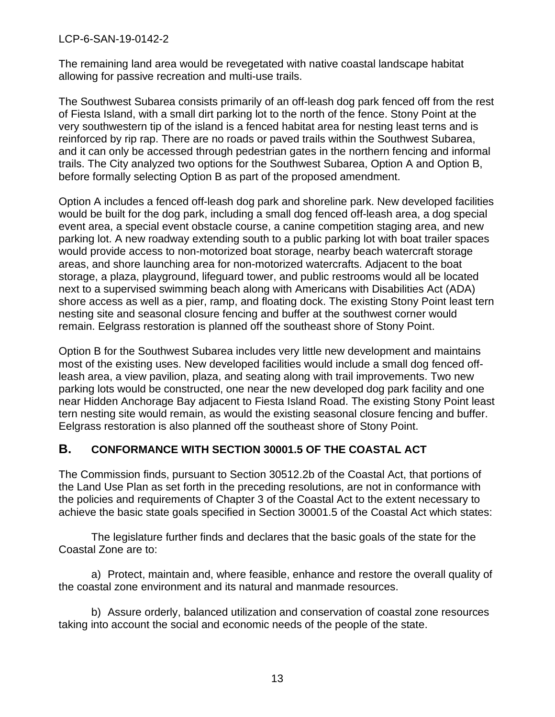The remaining land area would be revegetated with native coastal landscape habitat allowing for passive recreation and multi-use trails.

The Southwest Subarea consists primarily of an off-leash dog park fenced off from the rest of Fiesta Island, with a small dirt parking lot to the north of the fence. Stony Point at the very southwestern tip of the island is a fenced habitat area for nesting least terns and is reinforced by rip rap. There are no roads or paved trails within the Southwest Subarea, and it can only be accessed through pedestrian gates in the northern fencing and informal trails. The City analyzed two options for the Southwest Subarea, Option A and Option B, before formally selecting Option B as part of the proposed amendment.

Option A includes a fenced off-leash dog park and shoreline park. New developed facilities would be built for the dog park, including a small dog fenced off-leash area, a dog special event area, a special event obstacle course, a canine competition staging area, and new parking lot. A new roadway extending south to a public parking lot with boat trailer spaces would provide access to non-motorized boat storage, nearby beach watercraft storage areas, and shore launching area for non-motorized watercrafts. Adjacent to the boat storage, a plaza, playground, lifeguard tower, and public restrooms would all be located next to a supervised swimming beach along with Americans with Disabilities Act (ADA) shore access as well as a pier, ramp, and floating dock. The existing Stony Point least tern nesting site and seasonal closure fencing and buffer at the southwest corner would remain. Eelgrass restoration is planned off the southeast shore of Stony Point.

Option B for the Southwest Subarea includes very little new development and maintains most of the existing uses. New developed facilities would include a small dog fenced offleash area, a view pavilion, plaza, and seating along with trail improvements. Two new parking lots would be constructed, one near the new developed dog park facility and one near Hidden Anchorage Bay adjacent to Fiesta Island Road. The existing Stony Point least tern nesting site would remain, as would the existing seasonal closure fencing and buffer. Eelgrass restoration is also planned off the southeast shore of Stony Point.

# <span id="page-12-0"></span>**B. CONFORMANCE WITH SECTION 30001.5 OF THE COASTAL ACT**

The Commission finds, pursuant to Section 30512.2b of the Coastal Act, that portions of the Land Use Plan as set forth in the preceding resolutions, are not in conformance with the policies and requirements of Chapter 3 of the Coastal Act to the extent necessary to achieve the basic state goals specified in Section 30001.5 of the Coastal Act which states:

The legislature further finds and declares that the basic goals of the state for the Coastal Zone are to:

a) Protect, maintain and, where feasible, enhance and restore the overall quality of the coastal zone environment and its natural and manmade resources.

b) Assure orderly, balanced utilization and conservation of coastal zone resources taking into account the social and economic needs of the people of the state.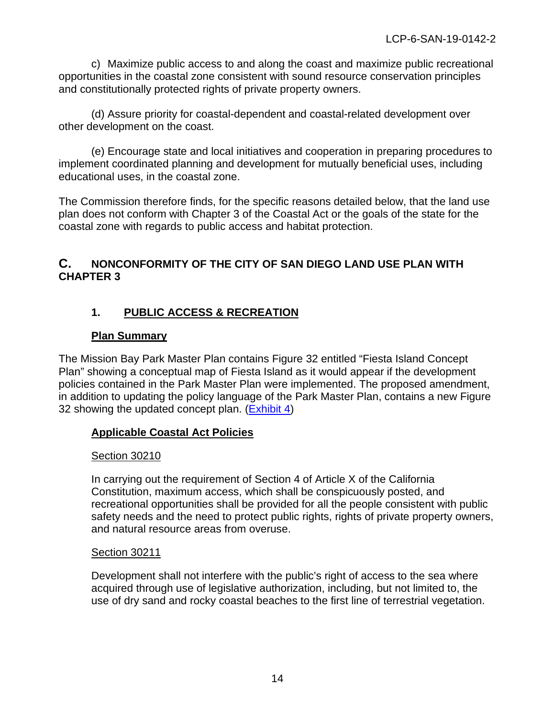c) Maximize public access to and along the coast and maximize public recreational opportunities in the coastal zone consistent with sound resource conservation principles and constitutionally protected rights of private property owners.

(d) Assure priority for coastal-dependent and coastal-related development over other development on the coast.

(e) Encourage state and local initiatives and cooperation in preparing procedures to implement coordinated planning and development for mutually beneficial uses, including educational uses, in the coastal zone.

The Commission therefore finds, for the specific reasons detailed below, that the land use plan does not conform with Chapter 3 of the Coastal Act or the goals of the state for the coastal zone with regards to public access and habitat protection.

# <span id="page-13-0"></span>**C. NONCONFORMITY OF THE CITY OF SAN DIEGO LAND USE PLAN WITH CHAPTER 3**

# **1. PUBLIC ACCESS & RECREATION**

# **Plan Summary**

The Mission Bay Park Master Plan contains Figure 32 entitled "Fiesta Island Concept Plan" showing a conceptual map of Fiesta Island as it would appear if the development policies contained in the Park Master Plan were implemented. The proposed amendment, in addition to updating the policy language of the Park Master Plan, contains a new Figure 32 showing the updated concept plan. [\(Exhibit 4\)](https://documents.coastal.ca.gov/reports/2021/6/Th9f/Th9f-6-2021-exhibits.pdf)

# **Applicable Coastal Act Policies**

# Section 30210

In carrying out the requirement of Section 4 of Article X of the California Constitution, maximum access, which shall be conspicuously posted, and recreational opportunities shall be provided for all the people consistent with public safety needs and the need to protect public rights, rights of private property owners, and natural resource areas from overuse.

#### Section 30211

Development shall not interfere with the public's right of access to the sea where acquired through use of legislative authorization, including, but not limited to, the use of dry sand and rocky coastal beaches to the first line of terrestrial vegetation.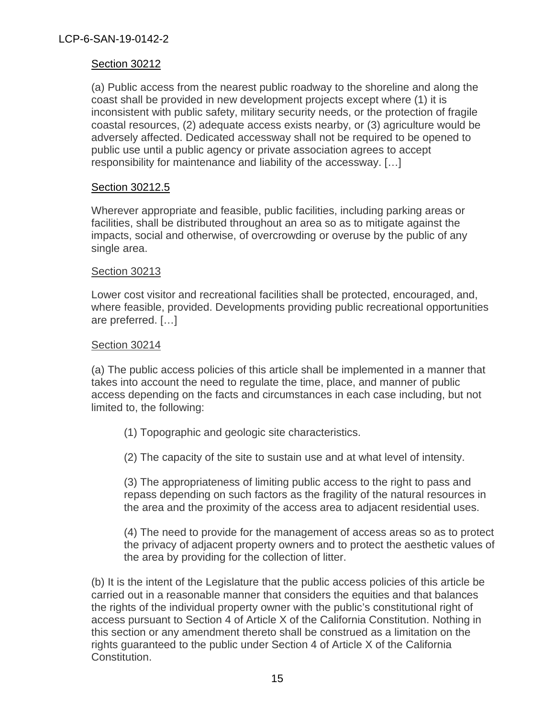#### Section 30212

(a) Public access from the nearest public roadway to the shoreline and along the coast shall be provided in new development projects except where (1) it is inconsistent with public safety, military security needs, or the protection of fragile coastal resources, (2) adequate access exists nearby, or (3) agriculture would be adversely affected. Dedicated accessway shall not be required to be opened to public use until a public agency or private association agrees to accept responsibility for maintenance and liability of the accessway. […]

#### Section 30212.5

Wherever appropriate and feasible, public facilities, including parking areas or facilities, shall be distributed throughout an area so as to mitigate against the impacts, social and otherwise, of overcrowding or overuse by the public of any single area.

#### Section 30213

Lower cost visitor and recreational facilities shall be protected, encouraged, and, where feasible, provided. Developments providing public recreational opportunities are preferred. […]

#### Section 30214

(a) The public access policies of this article shall be implemented in a manner that takes into account the need to regulate the time, place, and manner of public access depending on the facts and circumstances in each case including, but not limited to, the following:

- (1) Topographic and geologic site characteristics.
- (2) The capacity of the site to sustain use and at what level of intensity.

(3) The appropriateness of limiting public access to the right to pass and repass depending on such factors as the fragility of the natural resources in the area and the proximity of the access area to adjacent residential uses.

(4) The need to provide for the management of access areas so as to protect the privacy of adjacent property owners and to protect the aesthetic values of the area by providing for the collection of litter.

(b) It is the intent of the Legislature that the public access policies of this article be carried out in a reasonable manner that considers the equities and that balances the rights of the individual property owner with the public's constitutional right of access pursuant to Section 4 of Article X of the California Constitution. Nothing in this section or any amendment thereto shall be construed as a limitation on the rights guaranteed to the public under Section 4 of Article X of the California Constitution.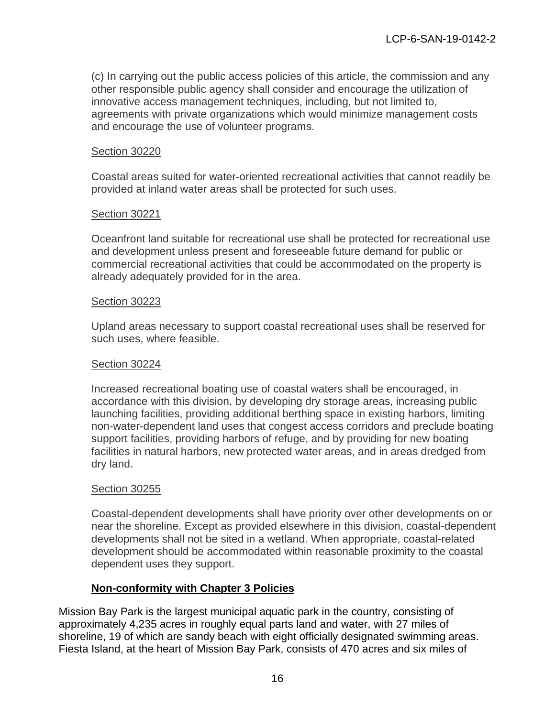(c) In carrying out the public access policies of this article, the commission and any other responsible public agency shall consider and encourage the utilization of innovative access management techniques, including, but not limited to, agreements with private organizations which would minimize management costs and encourage the use of volunteer programs.

#### Section 30220

Coastal areas suited for water-oriented recreational activities that cannot readily be provided at inland water areas shall be protected for such uses.

#### Section 30221

Oceanfront land suitable for recreational use shall be protected for recreational use and development unless present and foreseeable future demand for public or commercial recreational activities that could be accommodated on the property is already adequately provided for in the area.

#### Section 30223

Upland areas necessary to support coastal recreational uses shall be reserved for such uses, where feasible.

#### Section 30224

Increased recreational boating use of coastal waters shall be encouraged, in accordance with this division, by developing dry storage areas, increasing public launching facilities, providing additional berthing space in existing harbors, limiting non-water-dependent land uses that congest access corridors and preclude boating support facilities, providing harbors of refuge, and by providing for new boating facilities in natural harbors, new protected water areas, and in areas dredged from dry land.

#### Section 30255

Coastal-dependent developments shall have priority over other developments on or near the shoreline. Except as provided elsewhere in this division, coastal-dependent developments shall not be sited in a wetland. When appropriate, coastal-related development should be accommodated within reasonable proximity to the coastal dependent uses they support.

#### **Non-conformity with Chapter 3 Policies**

Mission Bay Park is the largest municipal aquatic park in the country, consisting of approximately 4,235 acres in roughly equal parts land and water, with 27 miles of shoreline, 19 of which are sandy beach with eight officially designated swimming areas. Fiesta Island, at the heart of Mission Bay Park, consists of 470 acres and six miles of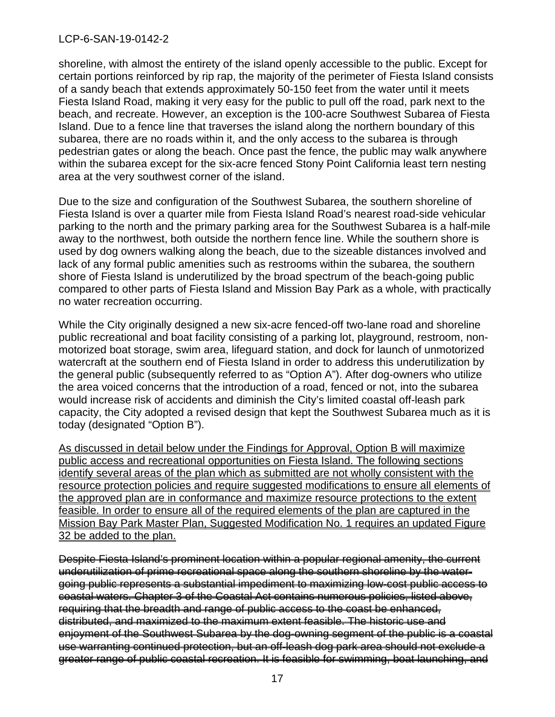shoreline, with almost the entirety of the island openly accessible to the public. Except for certain portions reinforced by rip rap, the majority of the perimeter of Fiesta Island consists of a sandy beach that extends approximately 50-150 feet from the water until it meets Fiesta Island Road, making it very easy for the public to pull off the road, park next to the beach, and recreate. However, an exception is the 100-acre Southwest Subarea of Fiesta Island. Due to a fence line that traverses the island along the northern boundary of this subarea, there are no roads within it, and the only access to the subarea is through pedestrian gates or along the beach. Once past the fence, the public may walk anywhere within the subarea except for the six-acre fenced Stony Point California least tern nesting area at the very southwest corner of the island.

Due to the size and configuration of the Southwest Subarea, the southern shoreline of Fiesta Island is over a quarter mile from Fiesta Island Road's nearest road-side vehicular parking to the north and the primary parking area for the Southwest Subarea is a half-mile away to the northwest, both outside the northern fence line. While the southern shore is used by dog owners walking along the beach, due to the sizeable distances involved and lack of any formal public amenities such as restrooms within the subarea, the southern shore of Fiesta Island is underutilized by the broad spectrum of the beach-going public compared to other parts of Fiesta Island and Mission Bay Park as a whole, with practically no water recreation occurring.

While the City originally designed a new six-acre fenced-off two-lane road and shoreline public recreational and boat facility consisting of a parking lot, playground, restroom, nonmotorized boat storage, swim area, lifeguard station, and dock for launch of unmotorized watercraft at the southern end of Fiesta Island in order to address this underutilization by the general public (subsequently referred to as "Option A"). After dog-owners who utilize the area voiced concerns that the introduction of a road, fenced or not, into the subarea would increase risk of accidents and diminish the City's limited coastal off-leash park capacity, the City adopted a revised design that kept the Southwest Subarea much as it is today (designated "Option B").

As discussed in detail below under the Findings for Approval, Option B will maximize public access and recreational opportunities on Fiesta Island. The following sections identify several areas of the plan which as submitted are not wholly consistent with the resource protection policies and require suggested modifications to ensure all elements of the approved plan are in conformance and maximize resource protections to the extent feasible. In order to ensure all of the required elements of the plan are captured in the Mission Bay Park Master Plan, Suggested Modification No. 1 requires an updated Figure 32 be added to the plan.

Despite Fiesta Island's prominent location within a popular regional amenity, the current underutilization of prime recreational space along the southern shoreline by the watergoing public represents a substantial impediment to maximizing low-cost public access to coastal waters. Chapter 3 of the Coastal Act contains numerous policies, listed above, requiring that the breadth and range of public access to the coast be enhanced, distributed, and maximized to the maximum extent feasible. The historic use and enjoyment of the Southwest Subarea by the dog-owning segment of the public is a coastal use warranting continued protection, but an off-leash dog park area should not exclude a greater range of public coastal recreation. It is feasible for swimming, boat launching, and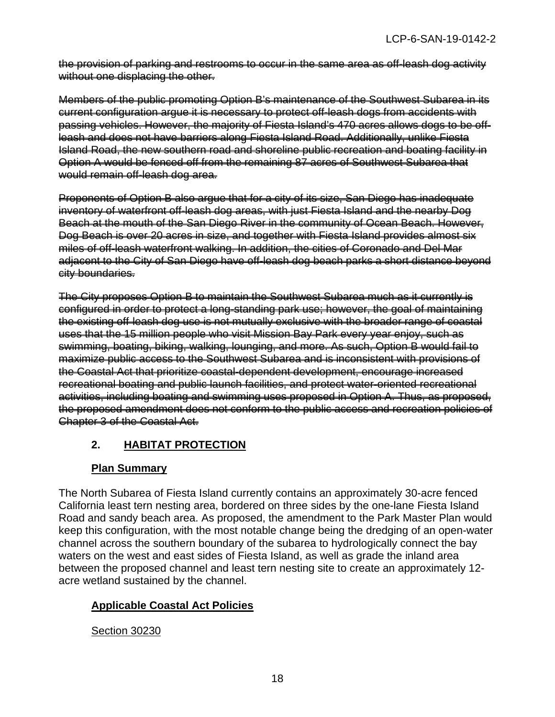the provision of parking and restrooms to occur in the same area as off-leash dog activity without one displacing the other.

Members of the public promoting Option B's maintenance of the Southwest Subarea in its current configuration argue it is necessary to protect off-leash dogs from accidents with passing vehicles. However, the majority of Fiesta Island's 470 acres allows dogs to be offleash and does not have barriers along Fiesta Island Road. Additionally, unlike Fiesta Island Road, the new southern road and shoreline public recreation and boating facility in Option A would be fenced off from the remaining 87 acres of Southwest Subarea that would remain off-leash dog area.

Proponents of Option B also argue that for a city of its size, San Diego has inadequate inventory of waterfront off-leash dog areas, with just Fiesta Island and the nearby Dog Beach at the mouth of the San Diego River in the community of Ocean Beach. However, Dog Beach is over 20 acres in size, and together with Fiesta Island provides almost six miles of off-leash waterfront walking. In addition, the cities of Coronado and Del Mar adjacent to the City of San Diego have off-leash dog beach parks a short distance beyond city boundaries.

The City proposes Option B to maintain the Southwest Subarea much as it currently is configured in order to protect a long-standing park use; however, the goal of maintaining the existing off-leash dog use is not mutually exclusive with the broader range of coastal uses that the 15 million people who visit Mission Bay Park every year enjoy, such as swimming, boating, biking, walking, lounging, and more. As such, Option B would fail to maximize public access to the Southwest Subarea and is inconsistent with provisions of the Coastal Act that prioritize coastal-dependent development, encourage increased recreational boating and public launch facilities, and protect water-oriented recreational activities, including boating and swimming uses proposed in Option A. Thus, as proposed, the proposed amendment does not conform to the public access and recreation policies of Chapter 3 of the Coastal Act.

# **2. HABITAT PROTECTION**

# **Plan Summary**

The North Subarea of Fiesta Island currently contains an approximately 30-acre fenced California least tern nesting area, bordered on three sides by the one-lane Fiesta Island Road and sandy beach area. As proposed, the amendment to the Park Master Plan would keep this configuration, with the most notable change being the dredging of an open-water channel across the southern boundary of the subarea to hydrologically connect the bay waters on the west and east sides of Fiesta Island, as well as grade the inland area between the proposed channel and least tern nesting site to create an approximately 12 acre wetland sustained by the channel.

# **Applicable Coastal Act Policies**

# Section 30230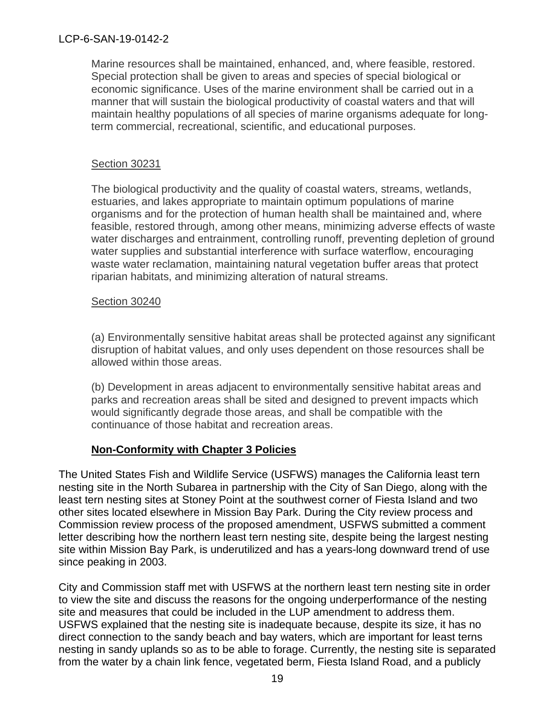Marine resources shall be maintained, enhanced, and, where feasible, restored. Special protection shall be given to areas and species of special biological or economic significance. Uses of the marine environment shall be carried out in a manner that will sustain the biological productivity of coastal waters and that will maintain healthy populations of all species of marine organisms adequate for longterm commercial, recreational, scientific, and educational purposes.

## Section 30231

The biological productivity and the quality of coastal waters, streams, wetlands, estuaries, and lakes appropriate to maintain optimum populations of marine organisms and for the protection of human health shall be maintained and, where feasible, restored through, among other means, minimizing adverse effects of waste water discharges and entrainment, controlling runoff, preventing depletion of ground water supplies and substantial interference with surface waterflow, encouraging waste water reclamation, maintaining natural vegetation buffer areas that protect riparian habitats, and minimizing alteration of natural streams.

#### Section 30240

(a) Environmentally sensitive habitat areas shall be protected against any significant disruption of habitat values, and only uses dependent on those resources shall be allowed within those areas.

(b) Development in areas adjacent to environmentally sensitive habitat areas and parks and recreation areas shall be sited and designed to prevent impacts which would significantly degrade those areas, and shall be compatible with the continuance of those habitat and recreation areas.

# **Non-Conformity with Chapter 3 Policies**

The United States Fish and Wildlife Service (USFWS) manages the California least tern nesting site in the North Subarea in partnership with the City of San Diego, along with the least tern nesting sites at Stoney Point at the southwest corner of Fiesta Island and two other sites located elsewhere in Mission Bay Park. During the City review process and Commission review process of the proposed amendment, USFWS submitted a comment letter describing how the northern least tern nesting site, despite being the largest nesting site within Mission Bay Park, is underutilized and has a years-long downward trend of use since peaking in 2003.

City and Commission staff met with USFWS at the northern least tern nesting site in order to view the site and discuss the reasons for the ongoing underperformance of the nesting site and measures that could be included in the LUP amendment to address them. USFWS explained that the nesting site is inadequate because, despite its size, it has no direct connection to the sandy beach and bay waters, which are important for least terns nesting in sandy uplands so as to be able to forage. Currently, the nesting site is separated from the water by a chain link fence, vegetated berm, Fiesta Island Road, and a publicly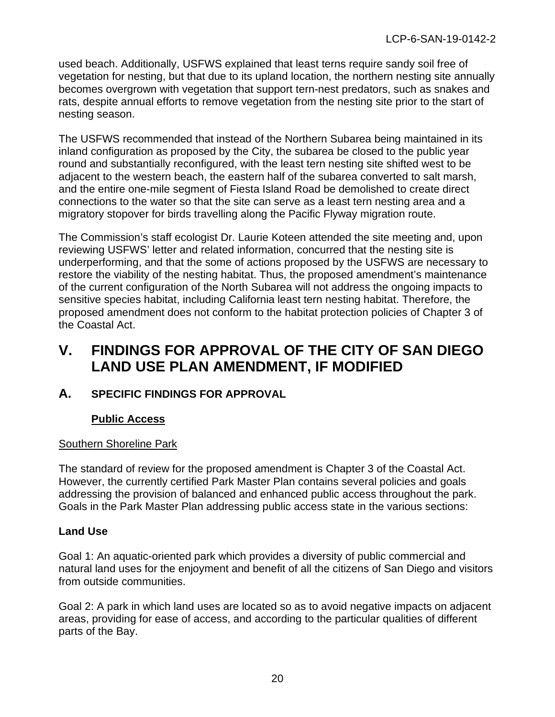used beach. Additionally, USFWS explained that least terns require sandy soil free of vegetation for nesting, but that due to its upland location, the northern nesting site annually becomes overgrown with vegetation that support tern-nest predators, such as snakes and rats, despite annual efforts to remove vegetation from the nesting site prior to the start of nesting season.

The USFWS recommended that instead of the Northern Subarea being maintained in its inland configuration as proposed by the City, the subarea be closed to the public year round and substantially reconfigured, with the least tern nesting site shifted west to be adjacent to the western beach, the eastern half of the subarea converted to salt marsh, and the entire one-mile segment of Fiesta Island Road be demolished to create direct connections to the water so that the site can serve as a least tern nesting area and a migratory stopover for birds travelling along the Pacific Flyway migration route.

The Commission's staff ecologist Dr. Laurie Koteen attended the site meeting and, upon reviewing USFWS' letter and related information, concurred that the nesting site is underperforming, and that the some of actions proposed by the USFWS are necessary to restore the viability of the nesting habitat. Thus, the proposed amendment's maintenance of the current configuration of the North Subarea will not address the ongoing impacts to sensitive species habitat, including California least tern nesting habitat. Therefore, the proposed amendment does not conform to the habitat protection policies of Chapter 3 of the Coastal Act.

# <span id="page-19-0"></span>**V. FINDINGS FOR APPROVAL OF THE CITY OF SAN DIEGO LAND USE PLAN AMENDMENT, IF MODIFIED**

# <span id="page-19-1"></span>**A. SPECIFIC FINDINGS FOR APPROVAL**

# **Public Access**

# Southern Shoreline Park

The standard of review for the proposed amendment is Chapter 3 of the Coastal Act. However, the currently certified Park Master Plan contains several policies and goals addressing the provision of balanced and enhanced public access throughout the park. Goals in the Park Master Plan addressing public access state in the various sections:

# **Land Use**

Goal 1: An aquatic-oriented park which provides a diversity of public commercial and natural land uses for the enjoyment and benefit of all the citizens of San Diego and visitors from outside communities.

Goal 2: A park in which land uses are located so as to avoid negative impacts on adjacent areas, providing for ease of access, and according to the particular qualities of different parts of the Bay.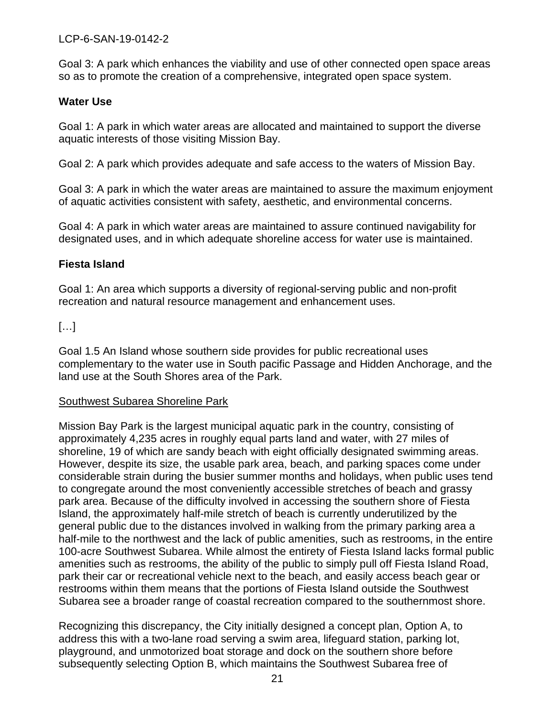Goal 3: A park which enhances the viability and use of other connected open space areas so as to promote the creation of a comprehensive, integrated open space system.

#### **Water Use**

Goal 1: A park in which water areas are allocated and maintained to support the diverse aquatic interests of those visiting Mission Bay.

Goal 2: A park which provides adequate and safe access to the waters of Mission Bay.

Goal 3: A park in which the water areas are maintained to assure the maximum enjoyment of aquatic activities consistent with safety, aesthetic, and environmental concerns.

Goal 4: A park in which water areas are maintained to assure continued navigability for designated uses, and in which adequate shoreline access for water use is maintained.

# **Fiesta Island**

Goal 1: An area which supports a diversity of regional-serving public and non-profit recreation and natural resource management and enhancement uses.

# $[\ldots]$

Goal 1.5 An Island whose southern side provides for public recreational uses complementary to the water use in South pacific Passage and Hidden Anchorage, and the land use at the South Shores area of the Park.

#### Southwest Subarea Shoreline Park

Mission Bay Park is the largest municipal aquatic park in the country, consisting of approximately 4,235 acres in roughly equal parts land and water, with 27 miles of shoreline, 19 of which are sandy beach with eight officially designated swimming areas. However, despite its size, the usable park area, beach, and parking spaces come under considerable strain during the busier summer months and holidays, when public uses tend to congregate around the most conveniently accessible stretches of beach and grassy park area. Because of the difficulty involved in accessing the southern shore of Fiesta Island, the approximately half-mile stretch of beach is currently underutilized by the general public due to the distances involved in walking from the primary parking area a half-mile to the northwest and the lack of public amenities, such as restrooms, in the entire 100-acre Southwest Subarea. While almost the entirety of Fiesta Island lacks formal public amenities such as restrooms, the ability of the public to simply pull off Fiesta Island Road, park their car or recreational vehicle next to the beach, and easily access beach gear or restrooms within them means that the portions of Fiesta Island outside the Southwest Subarea see a broader range of coastal recreation compared to the southernmost shore.

Recognizing this discrepancy, the City initially designed a concept plan, Option A, to address this with a two-lane road serving a swim area, lifeguard station, parking lot, playground, and unmotorized boat storage and dock on the southern shore before subsequently selecting Option B, which maintains the Southwest Subarea free of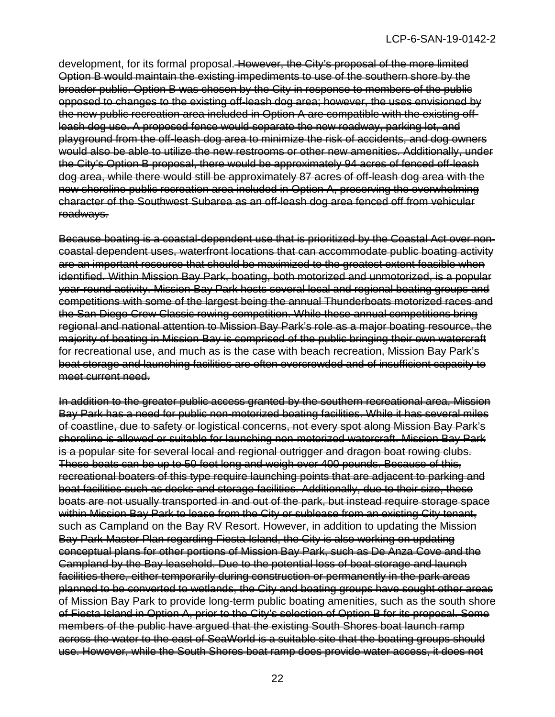development, for its formal proposal. However, the City's proposal of the more limited Option B would maintain the existing impediments to use of the southern shore by the broader public. Option B was chosen by the City in response to members of the public opposed to changes to the existing off-leash dog area; however, the uses envisioned by the new public recreation area included in Option A are compatible with the existing offleash dog use. A proposed fence would separate the new roadway, parking lot, and playground from the off-leash dog area to minimize the risk of accidents, and dog owners would also be able to utilize the new restrooms or other new amenities. Additionally, under the City's Option B proposal, there would be approximately 94 acres of fenced off-leash dog area, while there would still be approximately 87 acres of off-leash dog area with the new shoreline public recreation area included in Option A, preserving the overwhelming character of the Southwest Subarea as an off-leash dog area fenced off from vehicular roadways.

Because boating is a coastal-dependent use that is prioritized by the Coastal Act over noncoastal dependent uses, waterfront locations that can accommodate public boating activity are an important resource that should be maximized to the greatest extent feasible when identified. Within Mission Bay Park, boating, both motorized and unmotorized, is a popular year-round activity. Mission Bay Park hosts several local and regional boating groups and competitions with some of the largest being the annual Thunderboats motorized races and the San Diego Crew Classic rowing competition. While these annual competitions bring regional and national attention to Mission Bay Park's role as a major boating resource, the majority of boating in Mission Bay is comprised of the public bringing their own watercraft for recreational use, and much as is the case with beach recreation, Mission Bay Park's boat storage and launching facilities are often overcrowded and of insufficient capacity to meet current need.

In addition to the greater public access granted by the southern recreational area, Mission Bay Park has a need for public non-motorized boating facilities. While it has several miles of coastline, due to safety or logistical concerns, not every spot along Mission Bay Park's shoreline is allowed or suitable for launching non-motorized watercraft. Mission Bay Park is a popular site for several local and regional outrigger and dragon boat rowing clubs. These boats can be up to 50 feet long and weigh over 400 pounds. Because of this, recreational boaters of this type require launching points that are adjacent to parking and boat facilities such as docks and storage facilities. Additionally, due to their size, these boats are not usually transported in and out of the park, but instead require storage space within Mission Bay Park to lease from the City or sublease from an existing City tenant, such as Campland on the Bay RV Resort. However, in addition to updating the Mission Bay Park Master Plan regarding Fiesta Island, the City is also working on updating conceptual plans for other portions of Mission Bay Park, such as De Anza Cove and the Campland by the Bay leasehold. Due to the potential loss of boat storage and launch facilities there, either temporarily during construction or permanently in the park areas planned to be converted to wetlands, the City and boating groups have sought other areas of Mission Bay Park to provide long-term public boating amenities, such as the south shore of Fiesta Island in Option A, prior to the City's selection of Option B for its proposal. Some members of the public have argued that the existing South Shores boat launch ramp across the water to the east of SeaWorld is a suitable site that the boating groups should use. However, while the South Shores boat ramp does provide water access, it does not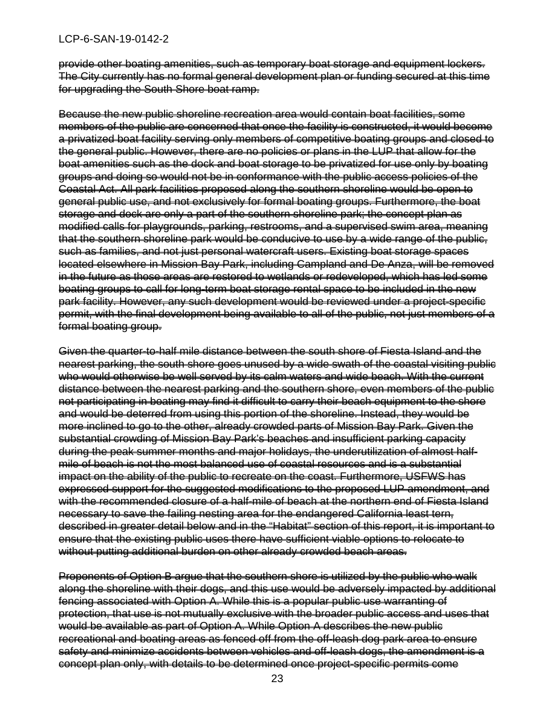provide other boating amenities, such as temporary boat storage and equipment lockers. The City currently has no formal general development plan or funding secured at this time for upgrading the South Shore boat ramp.

Because the new public shoreline recreation area would contain boat facilities, some members of the public are concerned that once the facility is constructed, it would become a privatized boat facility serving only members of competitive boating groups and closed to the general public. However, there are no policies or plans in the LUP that allow for the boat amenities such as the dock and boat storage to be privatized for use only by boating groups and doing so would not be in conformance with the public access policies of the Coastal Act. All park facilities proposed along the southern shoreline would be open to general public use, and not exclusively for formal boating groups. Furthermore, the boat storage and dock are only a part of the southern shoreline park; the concept plan as modified calls for playgrounds, parking, restrooms, and a supervised swim area, meaning that the southern shoreline park would be conducive to use by a wide range of the public, such as families, and not just personal watercraft users. Existing boat storage spaces located elsewhere in Mission Bay Park, including Campland and De Anza, will be removed in the future as those areas are restored to wetlands or redeveloped, which has led some boating groups to call for long-term boat storage rental space to be included in the new park facility. However, any such development would be reviewed under a project-specific permit, with the final development being available to all of the public, not just members of a formal boating group.

Given the quarter-to-half mile distance between the south shore of Fiesta Island and the nearest parking, the south shore goes unused by a wide swath of the coastal visiting public who would otherwise be well served by its calm waters and wide beach. With the current distance between the nearest parking and the southern shore, even members of the public not participating in boating may find it difficult to carry their beach equipment to the shore and would be deterred from using this portion of the shoreline. Instead, they would be more inclined to go to the other, already crowded parts of Mission Bay Park. Given the substantial crowding of Mission Bay Park's beaches and insufficient parking capacity during the peak summer months and major holidays, the underutilization of almost halfmile of beach is not the most balanced use of coastal resources and is a substantial impact on the ability of the public to recreate on the coast. Furthermore, USFWS has expressed support for the suggested modifications to the proposed LUP amendment, and with the recommended closure of a half-mile of beach at the northern end of Fiesta Island necessary to save the failing nesting area for the endangered California least tern, described in greater detail below and in the "Habitat" section of this report, it is important to ensure that the existing public uses there have sufficient viable options to relocate to without putting additional burden on other already crowded beach areas.

Proponents of Option B argue that the southern shore is utilized by the public who walk along the shoreline with their dogs, and this use would be adversely impacted by additional fencing associated with Option A. While this is a popular public use warranting of protection, that use is not mutually exclusive with the broader public access and uses that would be available as part of Option A. While Option A describes the new public recreational and boating areas as fenced off from the off-leash dog park area to ensure safety and minimize accidents between vehicles and off-leash dogs, the amendment is a concept plan only, with details to be determined once project-specific permits come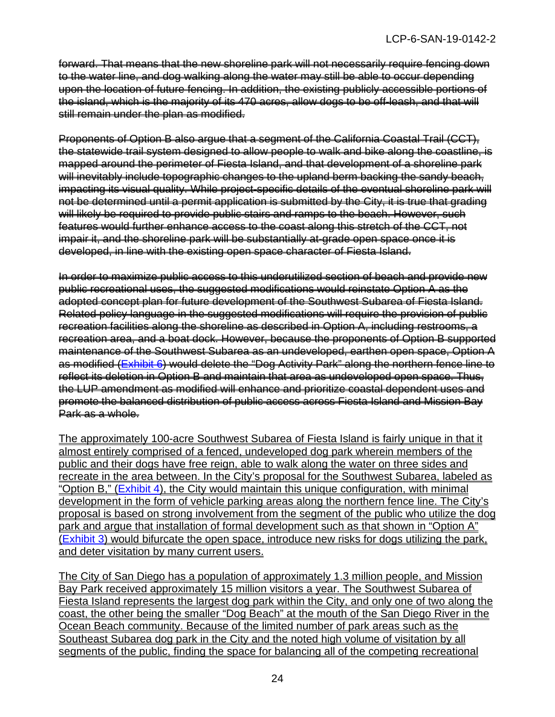forward. That means that the new shoreline park will not necessarily require fencing down to the water line, and dog walking along the water may still be able to occur depending upon the location of future fencing. In addition, the existing publicly accessible portions of the island, which is the majority of its 470 acres, allow dogs to be off-leash, and that will still remain under the plan as modified.

Proponents of Option B also argue that a segment of the California Coastal Trail (CCT), the statewide trail system designed to allow people to walk and bike along the coastline, is mapped around the perimeter of Fiesta Island, and that development of a shoreline park will inevitably include topographic changes to the upland berm backing the sandy beach. impacting its visual quality. While project-specific details of the eventual shoreline park will not be determined until a permit application is submitted by the City, it is true that grading will likely be required to provide public stairs and ramps to the beach. However, such features would further enhance access to the coast along this stretch of the CCT, not impair it, and the shoreline park will be substantially at-grade open space once it is developed, in line with the existing open space character of Fiesta Island.

In order to maximize public access to this underutilized section of beach and provide new public recreational uses, the suggested modifications would reinstate Option A as the adopted concept plan for future development of the Southwest Subarea of Fiesta Island. Related policy language in the suggested modifications will require the provision of public recreation facilities along the shoreline as described in Option A, including restrooms, a recreation area, and a boat dock. However, because the proponents of Option B supported maintenance of the Southwest Subarea as an undeveloped, earthen open space, Option A as modified [\(Exhibit 6\)](https://documents.coastal.ca.gov/reports/2021/6/Th9f/Th9f-6-2021-exhibits.pdf) would delete the "Dog Activity Park" along the northern fence line to reflect its deletion in Option B and maintain that area as undeveloped open space. Thus, the LUP amendment as modified will enhance and prioritize coastal dependent uses and promote the balanced distribution of public access across Fiesta Island and Mission Bay Park as a whole.

The approximately 100-acre Southwest Subarea of Fiesta Island is fairly unique in that it almost entirely comprised of a fenced, undeveloped dog park wherein members of the public and their dogs have free reign, able to walk along the water on three sides and recreate in the area between. In the City's proposal for the Southwest Subarea, labeled as "Option B," [\(Exhibit 4\)](https://documents.coastal.ca.gov/reports/2021/6/Th9f/Th9f-6-2021-exhibits.pdf), the City would maintain this unique configuration, with minimal development in the form of vehicle parking areas along the northern fence line. The City's proposal is based on strong involvement from the segment of the public who utilize the dog park and argue that installation of formal development such as that shown in "Option A" [\(Exhibit 3\)](https://documents.coastal.ca.gov/reports/2021/6/Th9f/Th9f-6-2021-exhibits.pdf) would bifurcate the open space, introduce new risks for dogs utilizing the park, and deter visitation by many current users.

The City of San Diego has a population of approximately 1.3 million people, and Mission Bay Park received approximately 15 million visitors a year. The Southwest Subarea of Fiesta Island represents the largest dog park within the City, and only one of two along the coast, the other being the smaller "Dog Beach" at the mouth of the San Diego River in the Ocean Beach community. Because of the limited number of park areas such as the Southeast Subarea dog park in the City and the noted high volume of visitation by all segments of the public, finding the space for balancing all of the competing recreational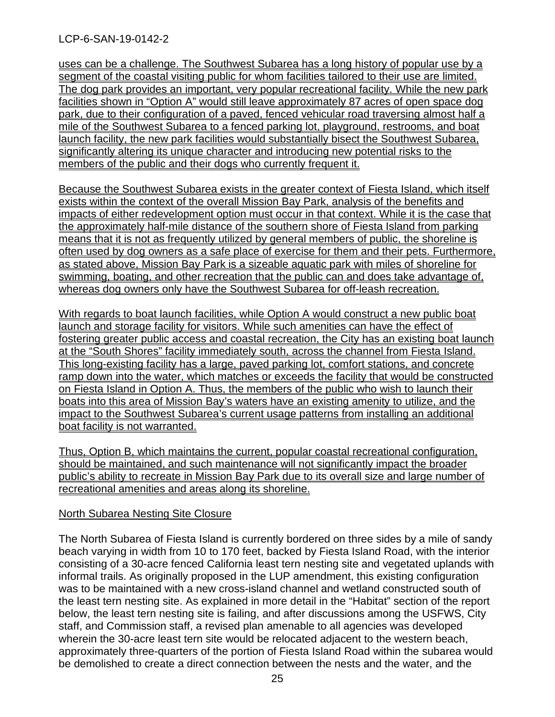uses can be a challenge. The Southwest Subarea has a long history of popular use by a segment of the coastal visiting public for whom facilities tailored to their use are limited. The dog park provides an important, very popular recreational facility. While the new park facilities shown in "Option A" would still leave approximately 87 acres of open space dog park, due to their configuration of a paved, fenced vehicular road traversing almost half a mile of the Southwest Subarea to a fenced parking lot, playground, restrooms, and boat launch facility, the new park facilities would substantially bisect the Southwest Subarea, significantly altering its unique character and introducing new potential risks to the members of the public and their dogs who currently frequent it.

Because the Southwest Subarea exists in the greater context of Fiesta Island, which itself exists within the context of the overall Mission Bay Park, analysis of the benefits and impacts of either redevelopment option must occur in that context. While it is the case that the approximately half-mile distance of the southern shore of Fiesta Island from parking means that it is not as frequently utilized by general members of public, the shoreline is often used by dog owners as a safe place of exercise for them and their pets. Furthermore, as stated above, Mission Bay Park is a sizeable aquatic park with miles of shoreline for swimming, boating, and other recreation that the public can and does take advantage of, whereas dog owners only have the Southwest Subarea for off-leash recreation.

With regards to boat launch facilities, while Option A would construct a new public boat launch and storage facility for visitors. While such amenities can have the effect of fostering greater public access and coastal recreation, the City has an existing boat launch at the "South Shores" facility immediately south, across the channel from Fiesta Island. This long-existing facility has a large, paved parking lot, comfort stations, and concrete ramp down into the water, which matches or exceeds the facility that would be constructed on Fiesta Island in Option A. Thus, the members of the public who wish to launch their boats into this area of Mission Bay's waters have an existing amenity to utilize, and the impact to the Southwest Subarea's current usage patterns from installing an additional boat facility is not warranted.

Thus, Option B, which maintains the current, popular coastal recreational configuration, should be maintained, and such maintenance will not significantly impact the broader public's ability to recreate in Mission Bay Park due to its overall size and large number of recreational amenities and areas along its shoreline.

#### North Subarea Nesting Site Closure

The North Subarea of Fiesta Island is currently bordered on three sides by a mile of sandy beach varying in width from 10 to 170 feet, backed by Fiesta Island Road, with the interior consisting of a 30-acre fenced California least tern nesting site and vegetated uplands with informal trails. As originally proposed in the LUP amendment, this existing configuration was to be maintained with a new cross-island channel and wetland constructed south of the least tern nesting site. As explained in more detail in the "Habitat" section of the report below, the least tern nesting site is failing, and after discussions among the USFWS, City staff, and Commission staff, a revised plan amenable to all agencies was developed wherein the 30-acre least tern site would be relocated adjacent to the western beach, approximately three-quarters of the portion of Fiesta Island Road within the subarea would be demolished to create a direct connection between the nests and the water, and the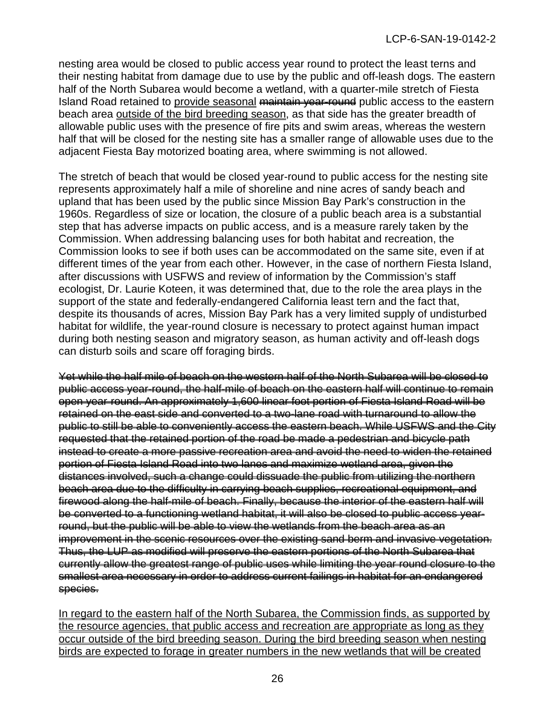nesting area would be closed to public access year round to protect the least terns and their nesting habitat from damage due to use by the public and off-leash dogs. The eastern half of the North Subarea would become a wetland, with a quarter-mile stretch of Fiesta Island Road retained to provide seasonal maintain year-round public access to the eastern beach area outside of the bird breeding season, as that side has the greater breadth of allowable public uses with the presence of fire pits and swim areas, whereas the western half that will be closed for the nesting site has a smaller range of allowable uses due to the adjacent Fiesta Bay motorized boating area, where swimming is not allowed.

The stretch of beach that would be closed year-round to public access for the nesting site represents approximately half a mile of shoreline and nine acres of sandy beach and upland that has been used by the public since Mission Bay Park's construction in the 1960s. Regardless of size or location, the closure of a public beach area is a substantial step that has adverse impacts on public access, and is a measure rarely taken by the Commission. When addressing balancing uses for both habitat and recreation, the Commission looks to see if both uses can be accommodated on the same site, even if at different times of the year from each other. However, in the case of northern Fiesta Island, after discussions with USFWS and review of information by the Commission's staff ecologist, Dr. Laurie Koteen, it was determined that, due to the role the area plays in the support of the state and federally-endangered California least tern and the fact that, despite its thousands of acres, Mission Bay Park has a very limited supply of undisturbed habitat for wildlife, the year-round closure is necessary to protect against human impact during both nesting season and migratory season, as human activity and off-leash dogs can disturb soils and scare off foraging birds.

Yet while the half mile of beach on the western half of the North Subarea will be closed to public access year-round, the half-mile of beach on the eastern half will continue to remain open year-round. An approximately 1,600 linear foot portion of Fiesta Island Road will be retained on the east side and converted to a two-lane road with turnaround to allow the public to still be able to conveniently access the eastern beach. While USFWS and the City requested that the retained portion of the road be made a pedestrian and bicycle path instead to create a more passive recreation area and avoid the need to widen the retained portion of Fiesta Island Road into two lanes and maximize wetland area, given the distances involved, such a change could dissuade the public from utilizing the northern beach area due to the difficulty in carrying beach supplies, recreational equipment, and firewood along the half-mile of beach. Finally, because the interior of the eastern half will be converted to a functioning wetland habitat, it will also be closed to public access yearround, but the public will be able to view the wetlands from the beach area as an improvement in the scenic resources over the existing sand berm and invasive vegetation. Thus, the LUP as modified will preserve the eastern portions of the North Subarea that currently allow the greatest range of public uses while limiting the year round closure to the smallest area necessary in order to address current failings in habitat for an endangered species.

In regard to the eastern half of the North Subarea, the Commission finds, as supported by the resource agencies, that public access and recreation are appropriate as long as they occur outside of the bird breeding season. During the bird breeding season when nesting birds are expected to forage in greater numbers in the new wetlands that will be created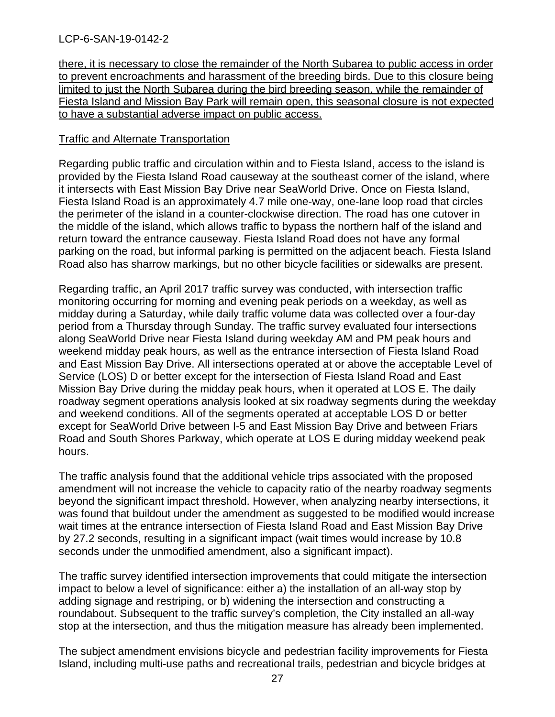there, it is necessary to close the remainder of the North Subarea to public access in order to prevent encroachments and harassment of the breeding birds. Due to this closure being limited to just the North Subarea during the bird breeding season, while the remainder of Fiesta Island and Mission Bay Park will remain open, this seasonal closure is not expected to have a substantial adverse impact on public access.

#### Traffic and Alternate Transportation

Regarding public traffic and circulation within and to Fiesta Island, access to the island is provided by the Fiesta Island Road causeway at the southeast corner of the island, where it intersects with East Mission Bay Drive near SeaWorld Drive. Once on Fiesta Island, Fiesta Island Road is an approximately 4.7 mile one-way, one-lane loop road that circles the perimeter of the island in a counter-clockwise direction. The road has one cutover in the middle of the island, which allows traffic to bypass the northern half of the island and return toward the entrance causeway. Fiesta Island Road does not have any formal parking on the road, but informal parking is permitted on the adjacent beach. Fiesta Island Road also has sharrow markings, but no other bicycle facilities or sidewalks are present.

Regarding traffic, an April 2017 traffic survey was conducted, with intersection traffic monitoring occurring for morning and evening peak periods on a weekday, as well as midday during a Saturday, while daily traffic volume data was collected over a four-day period from a Thursday through Sunday. The traffic survey evaluated four intersections along SeaWorld Drive near Fiesta Island during weekday AM and PM peak hours and weekend midday peak hours, as well as the entrance intersection of Fiesta Island Road and East Mission Bay Drive. All intersections operated at or above the acceptable Level of Service (LOS) D or better except for the intersection of Fiesta Island Road and East Mission Bay Drive during the midday peak hours, when it operated at LOS E. The daily roadway segment operations analysis looked at six roadway segments during the weekday and weekend conditions. All of the segments operated at acceptable LOS D or better except for SeaWorld Drive between I-5 and East Mission Bay Drive and between Friars Road and South Shores Parkway, which operate at LOS E during midday weekend peak hours.

The traffic analysis found that the additional vehicle trips associated with the proposed amendment will not increase the vehicle to capacity ratio of the nearby roadway segments beyond the significant impact threshold. However, when analyzing nearby intersections, it was found that buildout under the amendment as suggested to be modified would increase wait times at the entrance intersection of Fiesta Island Road and East Mission Bay Drive by 27.2 seconds, resulting in a significant impact (wait times would increase by 10.8 seconds under the unmodified amendment, also a significant impact).

The traffic survey identified intersection improvements that could mitigate the intersection impact to below a level of significance: either a) the installation of an all-way stop by adding signage and restriping, or b) widening the intersection and constructing a roundabout. Subsequent to the traffic survey's completion, the City installed an all-way stop at the intersection, and thus the mitigation measure has already been implemented.

The subject amendment envisions bicycle and pedestrian facility improvements for Fiesta Island, including multi-use paths and recreational trails, pedestrian and bicycle bridges at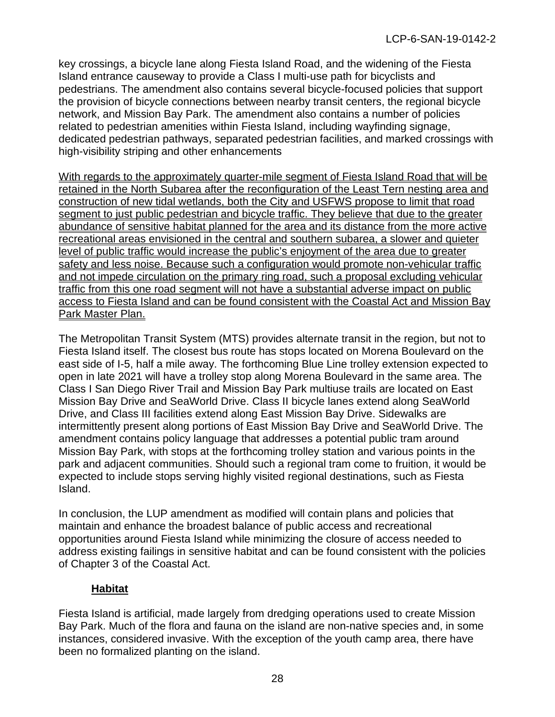key crossings, a bicycle lane along Fiesta Island Road, and the widening of the Fiesta Island entrance causeway to provide a Class I multi-use path for bicyclists and pedestrians. The amendment also contains several bicycle-focused policies that support the provision of bicycle connections between nearby transit centers, the regional bicycle network, and Mission Bay Park. The amendment also contains a number of policies related to pedestrian amenities within Fiesta Island, including wayfinding signage, dedicated pedestrian pathways, separated pedestrian facilities, and marked crossings with high-visibility striping and other enhancements

With regards to the approximately quarter-mile segment of Fiesta Island Road that will be retained in the North Subarea after the reconfiguration of the Least Tern nesting area and construction of new tidal wetlands, both the City and USFWS propose to limit that road segment to just public pedestrian and bicycle traffic. They believe that due to the greater abundance of sensitive habitat planned for the area and its distance from the more active recreational areas envisioned in the central and southern subarea, a slower and quieter level of public traffic would increase the public's enjoyment of the area due to greater safety and less noise. Because such a configuration would promote non-vehicular traffic and not impede circulation on the primary ring road, such a proposal excluding vehicular traffic from this one road segment will not have a substantial adverse impact on public access to Fiesta Island and can be found consistent with the Coastal Act and Mission Bay Park Master Plan.

The Metropolitan Transit System (MTS) provides alternate transit in the region, but not to Fiesta Island itself. The closest bus route has stops located on Morena Boulevard on the east side of I-5, half a mile away. The forthcoming Blue Line trolley extension expected to open in late 2021 will have a trolley stop along Morena Boulevard in the same area. The Class I San Diego River Trail and Mission Bay Park multiuse trails are located on East Mission Bay Drive and SeaWorld Drive. Class II bicycle lanes extend along SeaWorld Drive, and Class III facilities extend along East Mission Bay Drive. Sidewalks are intermittently present along portions of East Mission Bay Drive and SeaWorld Drive. The amendment contains policy language that addresses a potential public tram around Mission Bay Park, with stops at the forthcoming trolley station and various points in the park and adjacent communities. Should such a regional tram come to fruition, it would be expected to include stops serving highly visited regional destinations, such as Fiesta Island.

In conclusion, the LUP amendment as modified will contain plans and policies that maintain and enhance the broadest balance of public access and recreational opportunities around Fiesta Island while minimizing the closure of access needed to address existing failings in sensitive habitat and can be found consistent with the policies of Chapter 3 of the Coastal Act.

# **Habitat**

Fiesta Island is artificial, made largely from dredging operations used to create Mission Bay Park. Much of the flora and fauna on the island are non-native species and, in some instances, considered invasive. With the exception of the youth camp area, there have been no formalized planting on the island.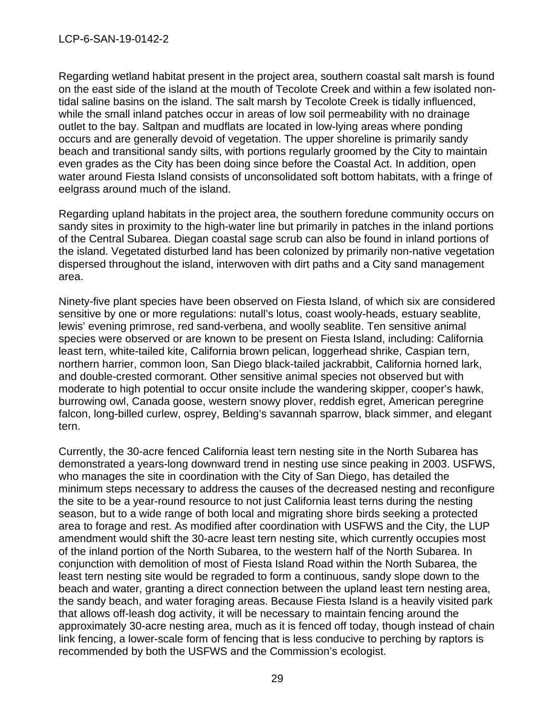Regarding wetland habitat present in the project area, southern coastal salt marsh is found on the east side of the island at the mouth of Tecolote Creek and within a few isolated nontidal saline basins on the island. The salt marsh by Tecolote Creek is tidally influenced, while the small inland patches occur in areas of low soil permeability with no drainage outlet to the bay. Saltpan and mudflats are located in low-lying areas where ponding occurs and are generally devoid of vegetation. The upper shoreline is primarily sandy beach and transitional sandy silts, with portions regularly groomed by the City to maintain even grades as the City has been doing since before the Coastal Act. In addition, open water around Fiesta Island consists of unconsolidated soft bottom habitats, with a fringe of eelgrass around much of the island.

Regarding upland habitats in the project area, the southern foredune community occurs on sandy sites in proximity to the high-water line but primarily in patches in the inland portions of the Central Subarea. Diegan coastal sage scrub can also be found in inland portions of the island. Vegetated disturbed land has been colonized by primarily non-native vegetation dispersed throughout the island, interwoven with dirt paths and a City sand management area.

Ninety-five plant species have been observed on Fiesta Island, of which six are considered sensitive by one or more regulations: nutall's lotus, coast wooly-heads, estuary seablite, lewis' evening primrose, red sand-verbena, and woolly seablite. Ten sensitive animal species were observed or are known to be present on Fiesta Island, including: California least tern, white-tailed kite, California brown pelican, loggerhead shrike, Caspian tern, northern harrier, common loon, San Diego black-tailed jackrabbit, California horned lark, and double-crested cormorant. Other sensitive animal species not observed but with moderate to high potential to occur onsite include the wandering skipper, cooper's hawk, burrowing owl, Canada goose, western snowy plover, reddish egret, American peregrine falcon, long-billed curlew, osprey, Belding's savannah sparrow, black simmer, and elegant tern.

Currently, the 30-acre fenced California least tern nesting site in the North Subarea has demonstrated a years-long downward trend in nesting use since peaking in 2003. USFWS, who manages the site in coordination with the City of San Diego, has detailed the minimum steps necessary to address the causes of the decreased nesting and reconfigure the site to be a year-round resource to not just California least terns during the nesting season, but to a wide range of both local and migrating shore birds seeking a protected area to forage and rest. As modified after coordination with USFWS and the City, the LUP amendment would shift the 30-acre least tern nesting site, which currently occupies most of the inland portion of the North Subarea, to the western half of the North Subarea. In conjunction with demolition of most of Fiesta Island Road within the North Subarea, the least tern nesting site would be regraded to form a continuous, sandy slope down to the beach and water, granting a direct connection between the upland least tern nesting area, the sandy beach, and water foraging areas. Because Fiesta Island is a heavily visited park that allows off-leash dog activity, it will be necessary to maintain fencing around the approximately 30-acre nesting area, much as it is fenced off today, though instead of chain link fencing, a lower-scale form of fencing that is less conducive to perching by raptors is recommended by both the USFWS and the Commission's ecologist.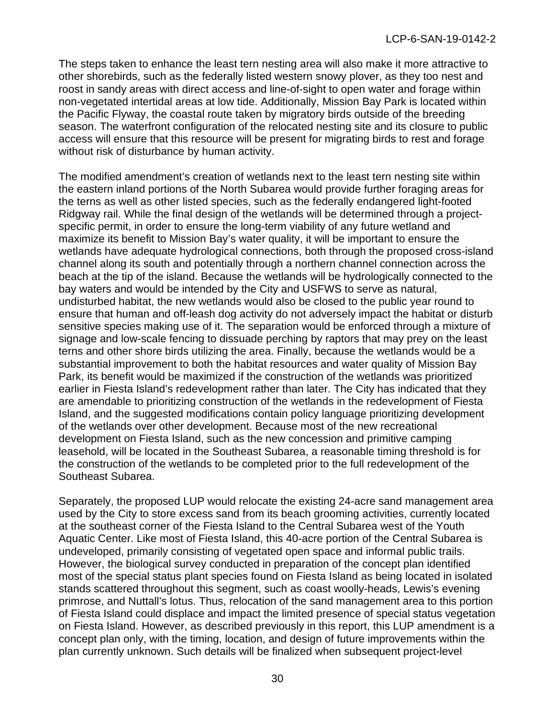The steps taken to enhance the least tern nesting area will also make it more attractive to other shorebirds, such as the federally listed western snowy plover, as they too nest and roost in sandy areas with direct access and line-of-sight to open water and forage within non-vegetated intertidal areas at low tide. Additionally, Mission Bay Park is located within the Pacific Flyway, the coastal route taken by migratory birds outside of the breeding season. The waterfront configuration of the relocated nesting site and its closure to public access will ensure that this resource will be present for migrating birds to rest and forage without risk of disturbance by human activity.

The modified amendment's creation of wetlands next to the least tern nesting site within the eastern inland portions of the North Subarea would provide further foraging areas for the terns as well as other listed species, such as the federally endangered light-footed Ridgway rail. While the final design of the wetlands will be determined through a projectspecific permit, in order to ensure the long-term viability of any future wetland and maximize its benefit to Mission Bay's water quality, it will be important to ensure the wetlands have adequate hydrological connections, both through the proposed cross-island channel along its south and potentially through a northern channel connection across the beach at the tip of the island. Because the wetlands will be hydrologically connected to the bay waters and would be intended by the City and USFWS to serve as natural, undisturbed habitat, the new wetlands would also be closed to the public year round to ensure that human and off-leash dog activity do not adversely impact the habitat or disturb sensitive species making use of it. The separation would be enforced through a mixture of signage and low-scale fencing to dissuade perching by raptors that may prey on the least terns and other shore birds utilizing the area. Finally, because the wetlands would be a substantial improvement to both the habitat resources and water quality of Mission Bay Park, its benefit would be maximized if the construction of the wetlands was prioritized earlier in Fiesta Island's redevelopment rather than later. The City has indicated that they are amendable to prioritizing construction of the wetlands in the redevelopment of Fiesta Island, and the suggested modifications contain policy language prioritizing development of the wetlands over other development. Because most of the new recreational development on Fiesta Island, such as the new concession and primitive camping leasehold, will be located in the Southeast Subarea, a reasonable timing threshold is for the construction of the wetlands to be completed prior to the full redevelopment of the Southeast Subarea.

Separately, the proposed LUP would relocate the existing 24-acre sand management area used by the City to store excess sand from its beach grooming activities, currently located at the southeast corner of the Fiesta Island to the Central Subarea west of the Youth Aquatic Center. Like most of Fiesta Island, this 40-acre portion of the Central Subarea is undeveloped, primarily consisting of vegetated open space and informal public trails. However, the biological survey conducted in preparation of the concept plan identified most of the special status plant species found on Fiesta Island as being located in isolated stands scattered throughout this segment, such as coast woolly-heads, Lewis's evening primrose, and Nuttall's lotus. Thus, relocation of the sand management area to this portion of Fiesta Island could displace and impact the limited presence of special status vegetation on Fiesta Island. However, as described previously in this report, this LUP amendment is a concept plan only, with the timing, location, and design of future improvements within the plan currently unknown. Such details will be finalized when subsequent project-level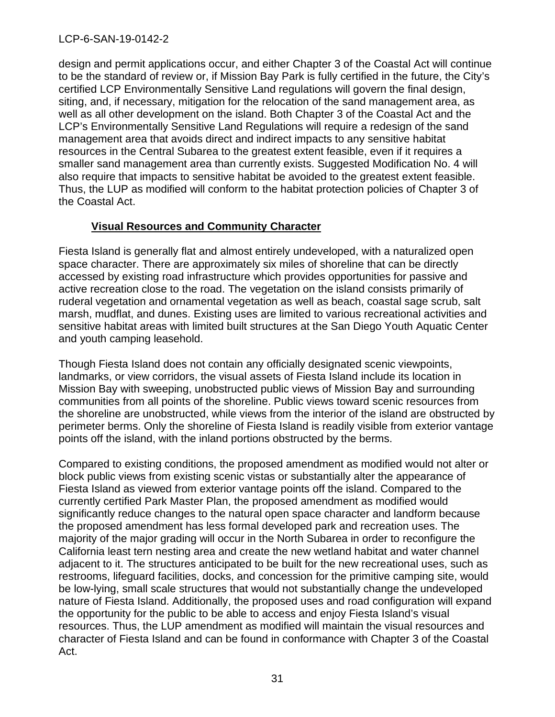design and permit applications occur, and either Chapter 3 of the Coastal Act will continue to be the standard of review or, if Mission Bay Park is fully certified in the future, the City's certified LCP Environmentally Sensitive Land regulations will govern the final design, siting, and, if necessary, mitigation for the relocation of the sand management area, as well as all other development on the island. Both Chapter 3 of the Coastal Act and the LCP's Environmentally Sensitive Land Regulations will require a redesign of the sand management area that avoids direct and indirect impacts to any sensitive habitat resources in the Central Subarea to the greatest extent feasible, even if it requires a smaller sand management area than currently exists. Suggested Modification No. 4 will also require that impacts to sensitive habitat be avoided to the greatest extent feasible. Thus, the LUP as modified will conform to the habitat protection policies of Chapter 3 of the Coastal Act.

# **Visual Resources and Community Character**

Fiesta Island is generally flat and almost entirely undeveloped, with a naturalized open space character. There are approximately six miles of shoreline that can be directly accessed by existing road infrastructure which provides opportunities for passive and active recreation close to the road. The vegetation on the island consists primarily of ruderal vegetation and ornamental vegetation as well as beach, coastal sage scrub, salt marsh, mudflat, and dunes. Existing uses are limited to various recreational activities and sensitive habitat areas with limited built structures at the San Diego Youth Aquatic Center and youth camping leasehold.

Though Fiesta Island does not contain any officially designated scenic viewpoints, landmarks, or view corridors, the visual assets of Fiesta Island include its location in Mission Bay with sweeping, unobstructed public views of Mission Bay and surrounding communities from all points of the shoreline. Public views toward scenic resources from the shoreline are unobstructed, while views from the interior of the island are obstructed by perimeter berms. Only the shoreline of Fiesta Island is readily visible from exterior vantage points off the island, with the inland portions obstructed by the berms.

Compared to existing conditions, the proposed amendment as modified would not alter or block public views from existing scenic vistas or substantially alter the appearance of Fiesta Island as viewed from exterior vantage points off the island. Compared to the currently certified Park Master Plan, the proposed amendment as modified would significantly reduce changes to the natural open space character and landform because the proposed amendment has less formal developed park and recreation uses. The majority of the major grading will occur in the North Subarea in order to reconfigure the California least tern nesting area and create the new wetland habitat and water channel adjacent to it. The structures anticipated to be built for the new recreational uses, such as restrooms, lifeguard facilities, docks, and concession for the primitive camping site, would be low-lying, small scale structures that would not substantially change the undeveloped nature of Fiesta Island. Additionally, the proposed uses and road configuration will expand the opportunity for the public to be able to access and enjoy Fiesta Island's visual resources. Thus, the LUP amendment as modified will maintain the visual resources and character of Fiesta Island and can be found in conformance with Chapter 3 of the Coastal Act.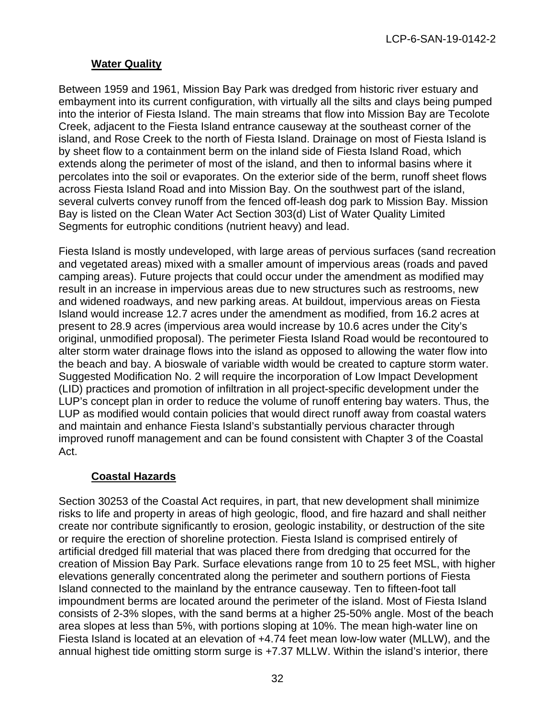# **Water Quality**

Between 1959 and 1961, Mission Bay Park was dredged from historic river estuary and embayment into its current configuration, with virtually all the silts and clays being pumped into the interior of Fiesta Island. The main streams that flow into Mission Bay are Tecolote Creek, adjacent to the Fiesta Island entrance causeway at the southeast corner of the island, and Rose Creek to the north of Fiesta Island. Drainage on most of Fiesta Island is by sheet flow to a containment berm on the inland side of Fiesta Island Road, which extends along the perimeter of most of the island, and then to informal basins where it percolates into the soil or evaporates. On the exterior side of the berm, runoff sheet flows across Fiesta Island Road and into Mission Bay. On the southwest part of the island, several culverts convey runoff from the fenced off-leash dog park to Mission Bay. Mission Bay is listed on the Clean Water Act Section 303(d) List of Water Quality Limited Segments for eutrophic conditions (nutrient heavy) and lead.

Fiesta Island is mostly undeveloped, with large areas of pervious surfaces (sand recreation and vegetated areas) mixed with a smaller amount of impervious areas (roads and paved camping areas). Future projects that could occur under the amendment as modified may result in an increase in impervious areas due to new structures such as restrooms, new and widened roadways, and new parking areas. At buildout, impervious areas on Fiesta Island would increase 12.7 acres under the amendment as modified, from 16.2 acres at present to 28.9 acres (impervious area would increase by 10.6 acres under the City's original, unmodified proposal). The perimeter Fiesta Island Road would be recontoured to alter storm water drainage flows into the island as opposed to allowing the water flow into the beach and bay. A bioswale of variable width would be created to capture storm water. Suggested Modification No. 2 will require the incorporation of Low Impact Development (LID) practices and promotion of infiltration in all project-specific development under the LUP's concept plan in order to reduce the volume of runoff entering bay waters. Thus, the LUP as modified would contain policies that would direct runoff away from coastal waters and maintain and enhance Fiesta Island's substantially pervious character through improved runoff management and can be found consistent with Chapter 3 of the Coastal Act.

# **Coastal Hazards**

Section 30253 of the Coastal Act requires, in part, that new development shall minimize risks to life and property in areas of high geologic, flood, and fire hazard and shall neither create nor contribute significantly to erosion, geologic instability, or destruction of the site or require the erection of shoreline protection. Fiesta Island is comprised entirely of artificial dredged fill material that was placed there from dredging that occurred for the creation of Mission Bay Park. Surface elevations range from 10 to 25 feet MSL, with higher elevations generally concentrated along the perimeter and southern portions of Fiesta Island connected to the mainland by the entrance causeway. Ten to fifteen-foot tall impoundment berms are located around the perimeter of the island. Most of Fiesta Island consists of 2-3% slopes, with the sand berms at a higher 25-50% angle. Most of the beach area slopes at less than 5%, with portions sloping at 10%. The mean high-water line on Fiesta Island is located at an elevation of +4.74 feet mean low-low water (MLLW), and the annual highest tide omitting storm surge is +7.37 MLLW. Within the island's interior, there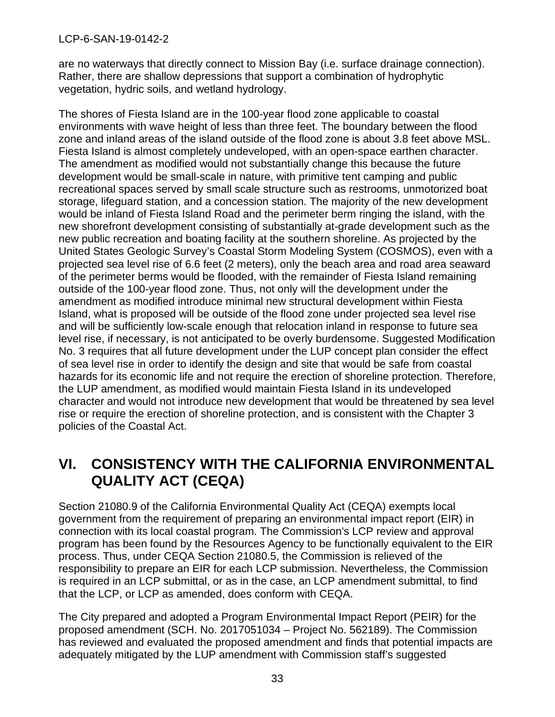are no waterways that directly connect to Mission Bay (i.e. surface drainage connection). Rather, there are shallow depressions that support a combination of hydrophytic vegetation, hydric soils, and wetland hydrology.

The shores of Fiesta Island are in the 100-year flood zone applicable to coastal environments with wave height of less than three feet. The boundary between the flood zone and inland areas of the island outside of the flood zone is about 3.8 feet above MSL. Fiesta Island is almost completely undeveloped, with an open-space earthen character. The amendment as modified would not substantially change this because the future development would be small-scale in nature, with primitive tent camping and public recreational spaces served by small scale structure such as restrooms, unmotorized boat storage, lifeguard station, and a concession station. The majority of the new development would be inland of Fiesta Island Road and the perimeter berm ringing the island, with the new shorefront development consisting of substantially at-grade development such as the new public recreation and boating facility at the southern shoreline. As projected by the United States Geologic Survey's Coastal Storm Modeling System (COSMOS), even with a projected sea level rise of 6.6 feet (2 meters), only the beach area and road area seaward of the perimeter berms would be flooded, with the remainder of Fiesta Island remaining outside of the 100-year flood zone. Thus, not only will the development under the amendment as modified introduce minimal new structural development within Fiesta Island, what is proposed will be outside of the flood zone under projected sea level rise and will be sufficiently low-scale enough that relocation inland in response to future sea level rise, if necessary, is not anticipated to be overly burdensome. Suggested Modification No. 3 requires that all future development under the LUP concept plan consider the effect of sea level rise in order to identify the design and site that would be safe from coastal hazards for its economic life and not require the erection of shoreline protection. Therefore, the LUP amendment, as modified would maintain Fiesta Island in its undeveloped character and would not introduce new development that would be threatened by sea level rise or require the erection of shoreline protection, and is consistent with the Chapter 3 policies of the Coastal Act.

# <span id="page-32-0"></span>**VI. CONSISTENCY WITH THE CALIFORNIA ENVIRONMENTAL QUALITY ACT (CEQA)**

Section 21080.9 of the California Environmental Quality Act (CEQA) exempts local government from the requirement of preparing an environmental impact report (EIR) in connection with its local coastal program. The Commission's LCP review and approval program has been found by the Resources Agency to be functionally equivalent to the EIR process. Thus, under CEQA Section 21080.5, the Commission is relieved of the responsibility to prepare an EIR for each LCP submission. Nevertheless, the Commission is required in an LCP submittal, or as in the case, an LCP amendment submittal, to find that the LCP, or LCP as amended, does conform with CEQA.

The City prepared and adopted a Program Environmental Impact Report (PEIR) for the proposed amendment (SCH. No. 2017051034 – Project No. 562189). The Commission has reviewed and evaluated the proposed amendment and finds that potential impacts are adequately mitigated by the LUP amendment with Commission staff's suggested